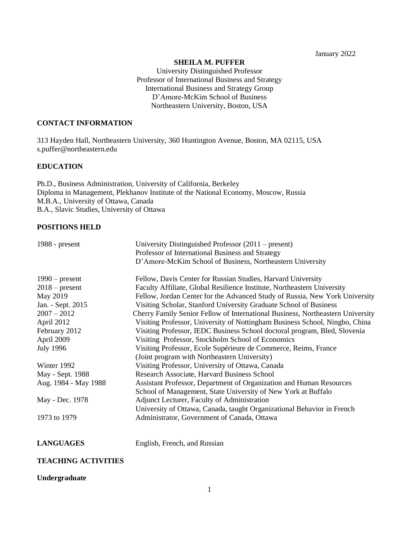January 2022

#### **SHEILA M. PUFFER**

University Distinguished Professor Professor of International Business and Strategy International Business and Strategy Group D'Amore-McKim School of Business Northeastern University, Boston, USA

# **CONTACT INFORMATION**

313 Hayden Hall, Northeastern University, 360 Huntington Avenue, Boston, MA 02115, USA [s.puffer@northeastern.edu](mailto:s.puffer@northeastern.edu)

# **EDUCATION**

Ph.D., Business Administration, University of California, Berkeley Diploma in Management, Plekhanov Institute of the National Economy, Moscow, Russia M.B.A., University of Ottawa, Canada B.A., Slavic Studies, University of Ottawa

# **POSITIONS HELD**

| 1988 - $present$     | University Distinguished Professor $(2011 -$ present)                          |
|----------------------|--------------------------------------------------------------------------------|
|                      | Professor of International Business and Strategy                               |
|                      | D'Amore-McKim School of Business, Northeastern University                      |
| $1990$ – present     | Fellow, Davis Center for Russian Studies, Harvard University                   |
| $2018$ – present     | Faculty Affiliate, Global Resilience Institute, Northeastern University        |
| May 2019             | Fellow, Jordan Center for the Advanced Study of Russia, New York University    |
| Jan. - Sept. 2015    | Visiting Scholar, Stanford University Graduate School of Business              |
| $2007 - 2012$        | Cherry Family Senior Fellow of International Business, Northeastern University |
| April 2012           | Visiting Professor, University of Nottingham Business School, Ningbo, China    |
| February 2012        | Visiting Professor, IEDC Business School doctoral program, Bled, Slovenia      |
| April 2009           | Visiting Professor, Stockholm School of Economics                              |
| <b>July 1996</b>     | Visiting Professor, Ecole Supérieure de Commerce, Reims, France                |
|                      | (Joint program with Northeastern University)                                   |
| Winter 1992          | Visiting Professor, University of Ottawa, Canada                               |
| May - Sept. 1988     | Research Associate, Harvard Business School                                    |
| Aug. 1984 - May 1988 | Assistant Professor, Department of Organization and Human Resources            |
|                      | School of Management, State University of New York at Buffalo                  |
| May - Dec. 1978      | Adjunct Lecturer, Faculty of Administration                                    |
|                      | University of Ottawa, Canada, taught Organizational Behavior in French         |
| 1973 to 1979         | Administrator, Government of Canada, Ottawa                                    |
|                      |                                                                                |

**LANGUAGES** English, French, and Russian

# **TEACHING ACTIVITIES**

#### **Undergraduate**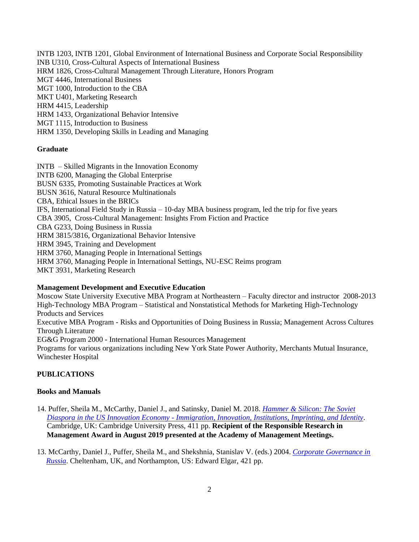INTB 1203, INTB 1201, Global Environment of International Business and Corporate Social Responsibility INB U310, Cross-Cultural Aspects of International Business HRM 1826, Cross-Cultural Management Through Literature, Honors Program MGT 4446, International Business MGT 1000, Introduction to the CBA MKT U401, Marketing Research HRM 4415, Leadership HRM 1433, Organizational Behavior Intensive MGT 1115, Introduction to Business HRM 1350, Developing Skills in Leading and Managing

#### **Graduate**

INTB – Skilled Migrants in the Innovation Economy INTB 6200, Managing the Global Enterprise BUSN 6335, Promoting Sustainable Practices at Work BUSN 3616, Natural Resource Multinationals CBA, Ethical Issues in the BRICs IFS, International Field Study in Russia – 10-day MBA business program, led the trip for five years CBA 3905, Cross-Cultural Management: Insights From Fiction and Practice CBA G233, Doing Business in Russia HRM 3815/3816, Organizational Behavior Intensive HRM 3945, Training and Development HRM 3760, Managing People in International Settings HRM 3760, Managing People in International Settings, NU-ESC Reims program MKT 3931, Marketing Research

#### **Management Development and Executive Education**

Moscow State University Executive MBA Program at Northeastern – Faculty director and instructor 2008-2013 High-Technology MBA Program – Statistical and Nonstatistical Methods for Marketing High-Technology Products and Services Executive MBA Program - Risks and Opportunities of Doing Business in Russia; Management Across Cultures Through Literature EG&G Program 2000 - International Human Resources Management Programs for various organizations including New York State Power Authority, Merchants Mutual Insurance, Winchester Hospital

#### **PUBLICATIONS**

#### **Books and Manuals**

- 14. Puffer, Sheila M., McCarthy, Daniel J., and Satinsky, Daniel M. 2018. *[Hammer &](http://www.cambridge.org/9781316641262) Silicon: The Soviet Diaspora in the US Innovation Economy - [Immigration, Innovation, Institutions, Imprinting, and Identity](http://www.cambridge.org/9781316641262)*. Cambridge, UK: Cambridge University Press, 411 pp. **Recipient of the Responsible Research in Management Award in August 2019 presented at the Academy of Management Meetings.**
- 13. McCarthy, Daniel J., Puffer, Sheila M., and Shekshnia, Stanislav V. (eds.) 2004. *[Corporate Governance in](https://www.e-elgar.com/shop/corporate-governance-in-russia)  [Russia](https://www.e-elgar.com/shop/corporate-governance-in-russia)*. Cheltenham, UK, and Northampton, US: Edward Elgar, 421 pp.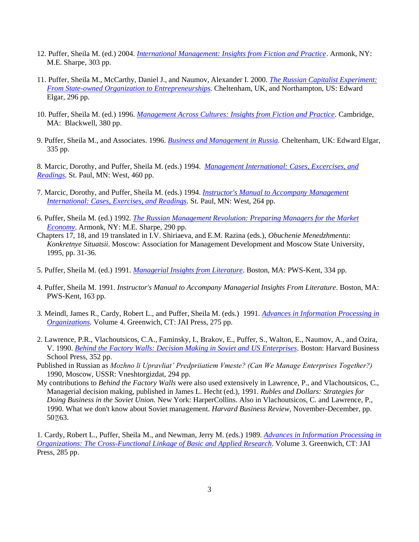- 12. Puffer, Sheila M. (ed.) 2004. *[International Management: Insights from Fiction and Practice](https://www.routledge.com/International-Management-Insights-from-Fiction-and-Practice-Insights/Puffer/p/book/9780765609717)*. Armonk, NY: M.E. Sharpe, 303 pp.
- 11. Puffer, Sheila M., McCarthy, Daniel J., and Naumov, Alexander I. 2000. *[The Russian Capitalist Experiment:](http://www.amazon.com/Russian-Capitalist-Experiment-Organizations-Entrepreneurships/dp/1858986338)  [From State-owned Organization to Entrepreneurships.](http://www.amazon.com/Russian-Capitalist-Experiment-Organizations-Entrepreneurships/dp/1858986338)* Cheltenham, UK, and Northampton, US: Edward Elgar, 296 pp.
- 10. Puffer, Sheila M. (ed.) 1996. *[Management Across Cultures: Insights from Fiction and Practice](http://www.amazon.com/Management-Across-Cultures-Insights-Practice/dp/1557866732)*. Cambridge, MA: Blackwell, 380 pp.
- 9. Puffer, Sheila M., and Associates. 1996. *[Business and Management in Russia.](http://www.amazon.com/Business-Management-Russia-Sheila-Puffer/dp/1858983614)* Cheltenham, UK: Edward Elgar, 335 pp.

8. Marcic, Dorothy, and Puffer, Sheila M. (eds.) 1994. *[Management International: Cases, Excercises, and](https://www.amazon.com/Management-International-Cases-Exercises-Readings/dp/0314028285)  [Readings.](https://www.amazon.com/Management-International-Cases-Exercises-Readings/dp/0314028285)* St. Paul, MN: West, 460 pp.

- 7. Marcic, Dorothy, and Puffer, Sheila M. (eds.) 1994. *[Instructor's Manual to Accompany Management](https://www.amazon.co.uk/INSTRUCTORS-ACCOMPANY-MANAGEMENT-INTERNATIONAL-EXERCISES/dp/B00711A90W)  [International: Cases, Exercises, and Readings.](https://www.amazon.co.uk/INSTRUCTORS-ACCOMPANY-MANAGEMENT-INTERNATIONAL-EXERCISES/dp/B00711A90W)* St. Paul, MN: West, 264 pp.
- 6. Puffer, Sheila M. (ed.) 1992*. [The Russian Management Revolution: Preparing Managers for the Market](http://www.amazon.com/Russian-Management-Revolution-Preparing-Managers-ebook/dp/B01H5L2A0E)  [Economy](http://www.amazon.com/Russian-Management-Revolution-Preparing-Managers-ebook/dp/B01H5L2A0E)*. Armonk, NY: M.E. Sharpe, 290 pp.
- Chapters 17, 18, and 19 translated in I.V. Shiriaeva, and E.M. Razina (eds.), *Obuchenie Menedzhmentu*: *Konkretnye Situatsii*. Moscow: Association for Management Development and Moscow State University, 1995, pp. 31-36.
- 5. Puffer, Sheila M. (ed.) 1991. *[Managerial Insights from Literature](http://www.amazon.com/Managerial-Insights-Literature-Sheila-Puffer/dp/0534924816)*. Boston, MA: PWS-Kent, 334 pp.
- 4. Puffer, Sheila M. 1991. *Instructor's Manual to Accompany Managerial Insights From Literature*. Boston, MA: PWS-Kent, 163 pp.
- 3. Meindl, James R., Cardy, Robert L., and Puffer, Sheila M. (eds.) 1991. *[Advances in Information Processing in](http://www.amazon.com/Information-Processing-Organizations-ORGANIZATIONAL-INFORMATION/dp/1559380128)  [Organizations](http://www.amazon.com/Information-Processing-Organizations-ORGANIZATIONAL-INFORMATION/dp/1559380128)*. Volume 4. Greenwich, CT: JAI Press, 275 pp.
- 2. Lawrence, P.R., Vlachoutsicos, C.A., Faminsky, I., Brakov, E., Puffer, S., Walton, E., Naumov, A., and Ozira, V. 1990. *[Behind the Factory Walls: Decision Making in Soviet and US Enterprises](https://books.google.com/books/about/Behind_the_factory_walls.html?id=T8exAAAAIAAJ)*. Boston: Harvard Business School Press, 352 pp.
- Published in Russian as *Mozhno li Upravliat' Predpriiatiem Vmeste? (Can We Manage Enterprises Together?)* 1990, Moscow, USSR: Vneshtorgizdat, 294 pp.
- My contributions to *Behind the Factory Walls* were also used extensively in Lawrence, P., and Vlachoutsicos, C., Managerial decision making, published in James L. Hecht (ed.), 1991. *Rubles and Dollars: Strategies for Doing Business in the Soviet Union.* New York: HarperCollins. Also in Vlachoutsicos, C. and Lawrence, P., 1990. What we don't know about Soviet management. *Harvard Business Review,* November-December, pp. 50 763.

1. Cardy, Robert L., Puffer, Sheila M., and Newman, Jerry M. (eds.) 1989. *[Advances in Information Processing in](https://www.abebooks.com/9780892326891/Advances-Information-Processing-Organizations-Cross-Functional-0892326891/plp)  [Organizations: The Cross-Functional Linkage of Basic and Applied Research](https://www.abebooks.com/9780892326891/Advances-Information-Processing-Organizations-Cross-Functional-0892326891/plp)*. Volume 3. Greenwich, CT: JAI Press, 285 pp.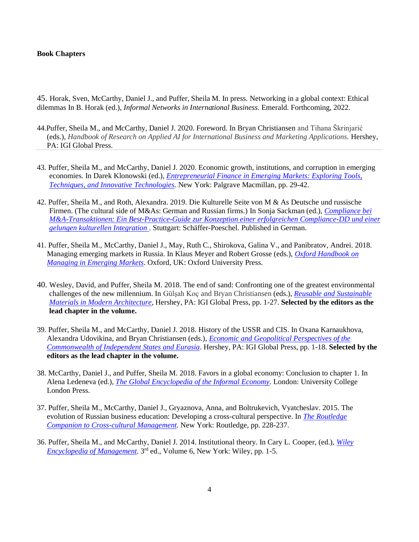#### **Book Chapters**

45. Horak, Sven, McCarthy, Daniel J., and Puffer, Sheila M. In press. Networking in a global context: Ethical dilemmas In B. Horak (ed.), *Informal Networks in International Business*. Emerald. Forthcoming, 2022.

- 44.Puffer, Sheila M., and McCarthy, Daniel J. 2020. Foreword. In Bryan Christiansen and Tihana Škrinjarić (eds.), *Handbook of Research on Applied AI for International Business and Marketing Applications.* Hershey, PA: IGI Global Press.
- 43. Puffer, Sheila M., and McCarthy, Daniel J. 2020. Economic growth, institutions, and corruption in emerging economies. In Darek Klonowski (ed.), *[Entrepreneurial Finance in Emerging Markets: Exploring Tools,](https://www.palgrave.com/gp/book/9783030462192#aboutBook)  [Techniques, and Innovative Technologies.](https://www.palgrave.com/gp/book/9783030462192#aboutBook)* New York: Palgrave Macmillan, pp. 29-42.
- 42. Puffer, Sheila M., and Roth, Alexandra. 2019. Die Kulturelle Seite von M & As Deutsche und russische Firmen. (The cultural side of M&As: German and Russian firms.) In Sonja Sackman (ed.), *[Compliance bei](https://shop.schaeffer-poeschel.de/prod/compliance-bei-m-a-transaktionen)  [M&A-Transaktionen: Ein Best-Practice-Guide zur Konzeption einer erfolgreichen Compliance-DD und einer](https://shop.schaeffer-poeschel.de/prod/compliance-bei-m-a-transaktionen)  [gelungen kulturellen Integration](https://shop.schaeffer-poeschel.de/prod/compliance-bei-m-a-transaktionen)* . Stuttgart: Schäffer-Poeschel. Published in German.
- 41. Puffer, Sheila M., McCarthy, Daniel J., May, Ruth C., Shirokova, Galina V., and Panibratov, Andrei. 2018. Managing emerging markets in Russia. In Klaus Meyer and Robert Grosse (eds.), *[Oxford Handbook on](https://global.oup.com/academic/product/the-oxford-handbook-of-management-in-emerging-markets-9780190683948?prevSortField=8&sortField=8&start=60&resultsPerPage=20&type=listing&prevNumResPerPage=20&lang=en&cc=us)  [Managing in Emerging Markets](https://global.oup.com/academic/product/the-oxford-handbook-of-management-in-emerging-markets-9780190683948?prevSortField=8&sortField=8&start=60&resultsPerPage=20&type=listing&prevNumResPerPage=20&lang=en&cc=us)*. Oxford, UK: Oxford University Press.
- 40. Wesley, David, and Puffer, Sheila M. 2018. The end of sand: Confronting one of the greatest environmental challenges of the new millennium. In Gülşah Koç and Bryan Christiansen (eds.), *[Reusable and Sustainable](https://www.igi-global.com/book/reusable-sustainable-building-materials-modern/201930)  [Materials in Modern Architecture](https://www.igi-global.com/book/reusable-sustainable-building-materials-modern/201930)*, Hershey, PA: IGI Global Press, pp. 1-27. **Selected by the editors as the lead chapter in the volume.**
- 39. Puffer, Sheila M., and McCarthy, Daniel J. 2018. History of the USSR and CIS. In Oxana Karnaukhova, Alexandra Udovikina, and Bryan Christiansen (eds.), *[Economic and Geopolitical Perspectives of the](https://www.igi-global.com/book/economic-geopolitical-perspectives-commonwealth-independent/180163)  [Commonwealth of Independent States and Eurasia](https://www.igi-global.com/book/economic-geopolitical-perspectives-commonwealth-independent/180163)*. Hershey, PA: IGI Global Press, pp. 1-18. **Selected by the editors as the lead chapter in the volume.**
- 38. McCarthy, Daniel J., and Puffer, Sheila M. 2018. Favors in a global economy: Conclusion to chapter 1. In Alena Ledeneva (ed.), *[The Global Encyclopedia of the Informal Economy.](https://www.uclpress.co.uk/products/86227)* London: University College London Press.
- 37. Puffer, Sheila M., McCarthy, Daniel J., Gryaznova, Anna, and Boltrukevich, Vyatcheslav. 2015. The evolution of Russian business education: Developing a cross-cultural perspective. In *[The Routledge](https://www.routledge.com/The-Routledge-Companion-to-Cross-Cultural-Management-1st-Edition/Holden-Michailova-Tietze/p/book/9780415858687)  [Companion to Cross-cultural Management.](https://www.routledge.com/The-Routledge-Companion-to-Cross-Cultural-Management-1st-Edition/Holden-Michailova-Tietze/p/book/9780415858687)* New York: Routledge, pp. 228-237.
- 36. Puffer, Sheila M., and McCarthy, Daniel J. 2014. Institutional theory. In Cary L. Cooper, (ed.), *[Wiley](https://www.wiley.com/en-us/Wiley+Encyclopedia+of+Management%2C+3rd+Edition-p-9781119972518)  [Encyclopedia of Management](https://www.wiley.com/en-us/Wiley+Encyclopedia+of+Management%2C+3rd+Edition-p-9781119972518)*. 3rd ed., Volume 6, New York: Wiley, pp. 1-5.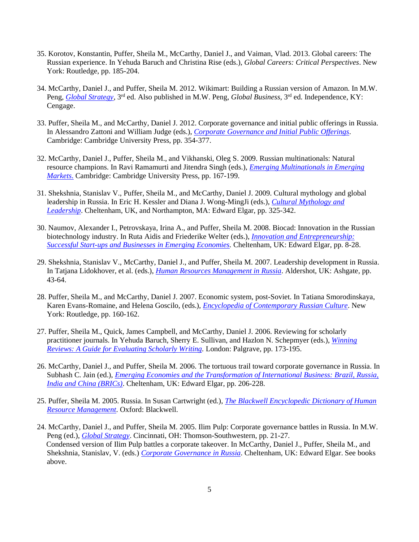- 35. Korotov, Konstantin, Puffer, Sheila M., McCarthy, Daniel J., and Vaiman, Vlad. 2013. Global careers: The Russian experience. In Yehuda Baruch and Christina Rise (eds.), *Global Careers: Critical Perspectives*. New York: Routledge, pp. 185-204.
- 34. McCarthy, Daniel J., and Puffer, Sheila M. 2012. Wikimart: Building a Russian version of Amazon. In M.W. Peng, *[Global Strategy](https://www.cengage.com/c/global-business-4e-peng/)*, 3rd ed. Also published in M.W. Peng, *Global Business*, 3rd ed. Independence, KY: Cengage.
- 33. Puffer, Sheila M., and McCarthy, Daniel J. 2012. Corporate governance and initial public offerings in Russia. In Alessandro Zattoni and William Judge (eds.), *[Corporate Governance and Initial Public Offerings](https://www.cambridge.org/core/books/corporate-governance-and-initial-public-offerings/E745DDED935E380FAEB997A4739249CE)*. Cambridge: Cambridge University Press, pp. 354-377.
- 32. McCarthy, Daniel J., Puffer, Sheila M., and Vikhanski, Oleg S. 2009. Russian multinationals: Natural resource champions. In Ravi Ramamurti and Jitendra Singh (eds.), *[Emerging Multinationals in Emerging](https://www.cambridge.org/core/books/emerging-multinationals-in-emerging-markets/7C6003E94F0255184E528311AE654970)  [Markets](https://www.cambridge.org/core/books/emerging-multinationals-in-emerging-markets/7C6003E94F0255184E528311AE654970)*. Cambridge: Cambridge University Press, pp. 167-199.
- 31. Shekshnia, Stanislav V., Puffer, Sheila M., and McCarthy, Daniel J. 2009. Cultural mythology and global leadership in Russia. In Eric H. Kessler and Diana J. Wong-MingJi (eds.), *[Cultural Mythology and](https://www.e-elgar.com/shop/cultural-mythology-and-global-leadership)  [Leadership](https://www.e-elgar.com/shop/cultural-mythology-and-global-leadership)*. Cheltenham, UK, and Northampton, MA: Edward Elgar, pp. 325-342.
- 30. Naumov, Alexander I., Petrovskaya, Irina A., and Puffer, Sheila M. 2008. Biocad: Innovation in the Russian biotechnology industry. In Ruta Aidis and Friederike Welter (eds.), *[Innovation and Entrepreneurship:](https://www.amazon.com/Innovation-Entrepreneurship-Successful-Start-ups-Businesses/dp/1845429737)  Successful Start-ups [and Businesses in Emerging Economies.](https://www.amazon.com/Innovation-Entrepreneurship-Successful-Start-ups-Businesses/dp/1845429737)* Cheltenham, UK: Edward Elgar, pp. 8-28.
- 29. Shekshnia, Stanislav V., McCarthy, Daniel J., and Puffer, Sheila M. 2007. Leadership development in Russia. In Tatjana Lidokhover, et al. (eds.), *[Human Resources Management in Russia](https://www.amazon.in/Books-Tatjana-Lidokhover/s?rh=n%3A976389031%2Cp_27%3ATatjana+Lidokhover)*. Aldershot, UK: Ashgate, pp. 43-64.
- 28. Puffer, Sheila M., and McCarthy, Daniel J. 2007. Economic system, post-Soviet. In Tatiana Smorodinskaya, Karen Evans-Romaine, and Helena Goscilo, (eds.), *[Encyclopedia of Contemporary Russian Culture](https://www.taylorfrancis.com/books/9780203825570)*. New York: Routledge, pp. 160-162.
- 27. Puffer, Sheila M., Quick, James Campbell, and McCarthy, Daniel J. 2006. Reviewing for scholarly practitioner journals. In Yehuda Baruch, Sherry E. Sullivan, and Hazlon N. Schepmyer (eds.), *[Winning](https://www.palgrave.com/us/book/9781403992239)  [Reviews: A Guide for Evaluating Scholarly Writing.](https://www.palgrave.com/us/book/9781403992239)* London: Palgrave, pp. 173-195.
- 26. McCarthy, Daniel J., and Puffer, Sheila M. 2006. The tortuous trail toward corporate governance in Russia. In Subhash C. Jain (ed.), *[Emerging Economies and the Transformation of International Business: Brazil, Russia,](https://www.e-elgar.com/shop/emerging-economies-and-the-transformation-of-international-business)  [India and](https://www.e-elgar.com/shop/emerging-economies-and-the-transformation-of-international-business) China (BRICs)*. Cheltenham, UK: Edward Elgar, pp. 206-228.
- 25. Puffer, Sheila M. 2005. Russia. In Susan Cartwright (ed.), *[The Blackwell Encyclopedic Dictionary of Human](https://www.abebooks.co.uk/9781557869432/Blackwell-Encyclopedic-Dictionary-Human-Resource-155786943X/plp)  [Resource Management](https://www.abebooks.co.uk/9781557869432/Blackwell-Encyclopedic-Dictionary-Human-Resource-155786943X/plp)*. Oxford: Blackwell.
- 24. McCarthy, Daniel J., and Puffer, Sheila M. 2005. Ilim Pulp: Corporate governance battles in Russia. In M.W. Peng (ed.), *[Global Strategy](https://www.cengage.com/c/global-business-4e-peng/)*. Cincinnati, OH: Thomson-Southwestern, pp. 21-27. Condensed version of Ilim Pulp battles a corporate takeover. In McCarthy, Daniel J., Puffer, Sheila M., and Shekshnia, Stanislav, V. (eds.) *[Corporate Governance in Russia](https://www.e-elgar.com/shop/corporate-governance-in-russia)*. Cheltenham, UK: Edward Elgar. See books above.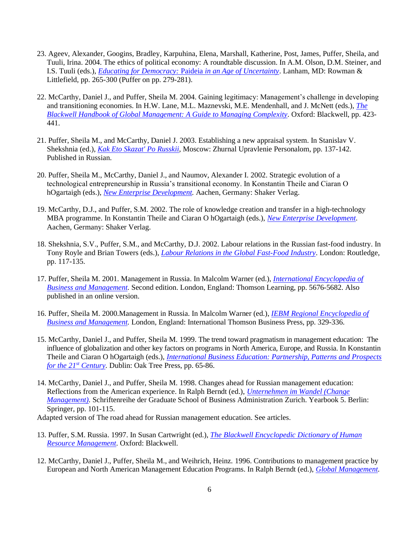- 23. Ageev, Alexander, Googins, Bradley, Karpuhina, Elena, Marshall, Katherine, Post, James, Puffer, Sheila, and Tuuli, Irina. 2004. The ethics of political economy: A roundtable discussion. In A.M. Olson, D.M. Steiner, and I.S. Tuuli (eds.), *[Educating for Democracy:](https://rowman.com/ISBN/9780742535404/Educating-for-Democracy-Paideia-in-an-Age-of-Uncertainty)* Paideia *in an Age of Uncertainty*. Lanham, MD: Rowman & Littlefield, pp. 265-300 (Puffer on pp. 279-281).
- 22. McCarthy, Daniel J., and Puffer, Sheila M. 2004. Gaining legitimacy: Management's challenge in developing and transitioning economies. In H.W. Lane, M.L. Maznevski, M.E. Mendenhall, and J. McNett (eds.), *[The](https://www.wiley.com/en-us/The+Blackwell+Handbook+of+Global+Management:+A+Guide+to+Managing+Complexity-p-9780631231936)  [Blackwell Handbook of Global Management: A Guide to Managing Complexity.](https://www.wiley.com/en-us/The+Blackwell+Handbook+of+Global+Management:+A+Guide+to+Managing+Complexity-p-9780631231936)* Oxford: Blackwell, pp. 423- 441.
- 21. Puffer, Sheila M., and McCarthy, Daniel J. 2003. Establishing a new appraisal system. In Stanislav V. Shekshnia (ed.), *[Kak Eto Skazat' Po Russkii](https://www.koob.ru/shekshnya/kak_eto_skazat)*, Moscow: Zhurnal Upravlenie Personalom, pp. 137-142. Published in Russian.
- 20. Puffer, Sheila M., McCarthy, Daniel J., and Naumov, Alexander I. 2002. Strategic evolution of a technological entrepreneurship in Russia's transitional economy. In Konstantin Theile and Ciaran O hOgartaigh (eds.), *[New Enterprise Development.](https://www.shaker.de/de/content/catalogue/index.asp?lang=de&ID=8&ISBN=978-3-8322-0953-7&search=yes)* Aachen, Germany: Shaker Verlag.
- 19. McCarthy, D.J., and Puffer, S.M. 2002. The role of knowledge creation and transfer in a high-technology MBA programme. In Konstantin Theile and Ciaran O hOgartaigh (eds.), *[New Enterprise Development.](https://www.shaker.de/de/content/catalogue/index.asp?lang=de&ID=8&ISBN=978-3-8322-0953-7&search=yes)*  Aachen, Germany: Shaker Verlag.
- 18. Shekshnia, S.V., Puffer, S.M., and McCarthy, D.J. 2002. Labour relations in the Russian fast-food industry. In Tony Royle and Brian Towers (eds.), *[Labour Relations in the Global Fast-Food Industry](https://www.routledge.com/Labour-Relations-in-the-Global-Fast-Food-Industry/Royle-Towers/p/book/9780415221672)*. London: Routledge, pp. 117-135.
- 17. Puffer, Sheila M. 2001. Management in Russia. In Malcolm Warner (ed.), *[International Encyclopedia of](https://www.cengage.co.uk/books/9781861521613/) [Business and Management.](https://www.cengage.co.uk/books/9781861521613/)* Second edition. London, England: Thomson Learning, pp. 5676-5682. Also published in an online version.
- 16. Puffer, Sheila M. 2000.Management in Russia. In Malcolm Warner (ed.), *[IEBM Regional Encyclopedia of](https://books.google.com/books/about/Regional_Encyclopedia_of_Business_and_Ma.html?id=UF-6MgEACAAJ) [Business and Management.](https://books.google.com/books/about/Regional_Encyclopedia_of_Business_and_Ma.html?id=UF-6MgEACAAJ)* London, England: International Thomson Business Press, pp. 329-336.
- 15. McCarthy, Daniel J., and Puffer, Sheila M. 1999. The trend toward pragmatism in management education: The influence of globalization and other key factors on programs in North America, Europe, and Russia. In Konstantin Theile and Ciaran O hOgartaigh (eds.), *[International Business Education: Partnership, Patterns and Prospects](https://www.amazon.com/International-Business-Education-Partnership-Prospects/dp/1860761577)  [for the 21](https://www.amazon.com/International-Business-Education-Partnership-Prospects/dp/1860761577)st Century.* Dublin: Oak Tree Press, pp. 65-86.
- 14. McCarthy, Daniel J., and Puffer, Sheila M. 1998. Changes ahead for Russian management education: Reflections from the American experience. In Ralph Berndt (ed.), *[Unternehmen im Wandel \(Change](https://www.springer.com/de/book/9783540640721)  Management*). Schriftenreihe der Graduate School of Business Administration Zurich. Yearbook 5. Berlin: Springer, pp. 101-115.

Adapted version of The road ahead for Russian management education. See articles*.*

- 13. Puffer, S.M. Russia. 1997. In Susan Cartwright (ed.), *[The Blackwell Encyclopedic Dictionary of Human](https://www.abebooks.co.uk/9781557869432/Blackwell-Encyclopedic-Dictionary-Human-Resource-155786943X/plp)  [Resource Management](https://www.abebooks.co.uk/9781557869432/Blackwell-Encyclopedic-Dictionary-Human-Resource-155786943X/plp)*. Oxford: Blackwell.
- 12. McCarthy, Daniel J., Puffer, Sheila M., and Weihrich, Heinz. 1996. Contributions to management practice by European and North American Management Education Programs. In Ralph Berndt (ed.), *[Global Management.](https://www.springer.com/de/book/9783642647154#otherversion=9783642611469)*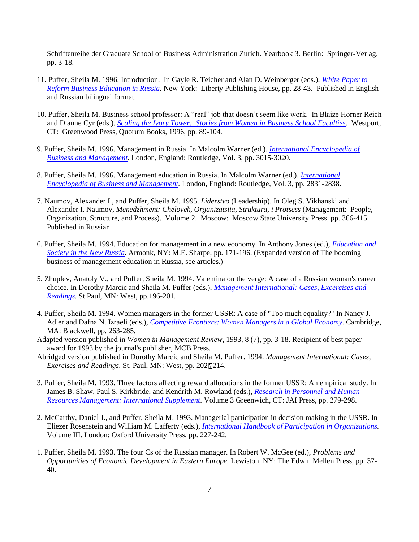Schriftenreihe der Graduate School of Business Administration Zurich. Yearbook 3. Berlin: Springer-Verlag, pp. 3-18.

- 11. Puffer, Sheila M. 1996. Introduction. In Gayle R. Teicher and Alan D. Weinberger (eds.), *[White Paper to](https://libertypublishinghouse.com/shop/english-language/white-paper-to-reform-business-education-in-russia/)  [Reform Business Education in Russia.](https://libertypublishinghouse.com/shop/english-language/white-paper-to-reform-business-education-in-russia/)* New York: Liberty Publishing House, pp. 28-43. Published in English and Russian bilingual format.
- 10. Puffer, Sheila M. Business school professor: A "real" job that doesn't seem like work. In Blaize Horner Reich and Dianne Cyr (eds.), *[Scaling the Ivory Tower: Stories from Women in Business School Faculties](https://www.abc-clio.com/ABC-CLIOCorporate/product.aspx?pc=D7762C)*. Westport, CT: Greenwood Press, Quorum Books, 1996, pp. 89-104.
- 9. Puffer, Sheila M. 1996. Management in Russia. In Malcolm Warner (ed.), *[International Encyclopedia of](https://www.cengage.co.uk/books/9781861521613/) [Business and Management.](https://www.cengage.co.uk/books/9781861521613/)* London, England: Routledge, Vol. 3, pp. 3015-3020.
- 8. Puffer, Sheila M. 1996. Management education in Russia. In Malcolm Warner (ed.), *[International](https://www.cengage.co.uk/books/9781861521613/)  [Encyclopedia of Business and Management.](https://www.cengage.co.uk/books/9781861521613/)* London, England: Routledge, Vol. 3, pp. 2831-2838.
- 7. Naumov, Alexander I., and Puffer, Sheila M. 1995. *Liderstvo* (Leadership). In Oleg S. Vikhanski and Alexander I. Naumov, *Menedzhment: Chelovek, Organizatsiia, Struktura, i Protsess* (Management: People, Organization, Structure, and Process). Volume 2. Moscow: Moscow State University Press, pp. 366-415. Published in Russian.
- 6. Puffer, Sheila M. 1994. Education for management in a new economy. In Anthony Jones (ed.), *[Education and](https://catalogue.nla.gov.au/Record/1998763)  [Society in the New Russia.](https://catalogue.nla.gov.au/Record/1998763)* Armonk, NY: M.E. Sharpe, pp. 171-196. (Expanded version of The booming business of management education in Russia, see articles.)
- 5. Zhuplev, Anatoly V., and Puffer, Sheila M. 1994. Valentina on the verge: A case of a Russian woman's career choice. In Dorothy Marcic and Sheila M. Puffer (eds.), *[Management International: Cases, Excercises and](https://www.amazon.com/Management-International-Cases-Exercises-Readings/dp/0314028285)  [Readings](https://www.amazon.com/Management-International-Cases-Exercises-Readings/dp/0314028285)*. St Paul, MN: West, pp.196-201.
- 4. Puffer, Sheila M. 1994. Women managers in the former USSR: A case of "Too much equality?" In Nancy J. Adler and Dafna N. Izraeli (eds.), *[Competitive Frontiers: Women Managers in a Global Economy.](https://www.amazon.com/Competitive-Frontiers-Managers-Global-Economy/dp/1557865108)* Cambridge, MA: Blackwell, pp. 263-285.
- Adapted version published in *Women in Management Review*, 1993, 8 (7), pp. 3-18. Recipient of best paper award for 1993 by the journal's publisher, MCB Press.
- Abridged version published in Dorothy Marcic and Sheila M. Puffer. 1994. *Management International: Cases, Exercises and Readings. St. Paul, MN: West, pp. 202214.*
- 3. Puffer, Sheila M. 1993. Three factors affecting reward allocations in the former USSR: An empirical study. In James B. Shaw, Paul S. Kirkbride, and Kendrith M. Rowland (eds.), *[Research in Personnel and Human](https://www.abebooks.com/9781559387200/ReInternational%20Handbook%20of%20Participation%20in%20Organizations.%20Volume%20IIIsearch-Personnel-Human-Resources-Management-1559387203/plp)  [Resources Management: International Supplement](https://www.abebooks.com/9781559387200/ReInternational%20Handbook%20of%20Participation%20in%20Organizations.%20Volume%20IIIsearch-Personnel-Human-Resources-Management-1559387203/plp)*. Volume 3 Greenwich, CT: JAI Press, pp. 279-298.
- 2. McCarthy, Daniel J., and Puffer, Sheila M. 1993. Managerial participation in decision making in the USSR. In Eliezer Rosenstein and William M. Lafferty (eds.), *[International Handbook of Participation in Organizations.](International%20Handbook%20of%20Participation%20in%20Organizations)* Volume III. London: Oxford University Press, pp. 227-242.
- 1. Puffer, Sheila M. 1993. The four Cs of the Russian manager. In Robert W. McGee (ed.), *Problems and Opportunities of Economic Development in Eastern Europe.* Lewiston, NY: The Edwin Mellen Press, pp. 37- 40.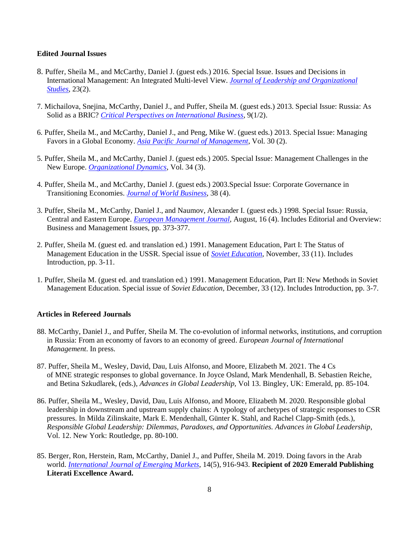#### **Edited Journal Issues**

- 8. Puffer, Sheila M., and McCarthy, Daniel J. (guest eds.) 2016. Special Issue. Issues and Decisions in International Management: An Integrated Multi-level View. *[Journal of Leadership and Organizational](https://journals.sagepub.com/toc/jlob/23/2)  [Studies](https://journals.sagepub.com/toc/jlob/23/2)*, 23(2).
- 7. Michailova, Snejina, McCarthy, Daniel J., and Puffer, Sheila M. (guest eds.) 2013. Special Issue: Russia: As Solid as a BRIC? *[Critical Perspectives on International Business](https://www.emerald.com/insight/publication/issn/1742-2043/vol/9/iss/1/2)*, 9(1/2).
- 6. Puffer, Sheila M., and McCarthy, Daniel J., and Peng, Mike W. (guest eds.) 2013. Special Issue: Managing Favors in a Global Economy. *[Asia Pacific Journal of Management](https://link.springer.com/journal/10490/volumes-and-issues/30-2)*, Vol. 30 (2).
- 5. Puffer, Sheila M., and McCarthy, Daniel J. (guest eds.) 2005. Special Issue: Management Challenges in the New Europe. *[Organizational Dynamics](https://www.journals.elsevier.com/organizational-dynamics/special-issues)*, Vol. 34 (3).
- 4. Puffer, Sheila M., and McCarthy, Daniel J. (guest eds.) 2003.Special Issue: Corporate Governance in Transitioning Economies. *[Journal of World Business](https://www.sciencedirect.com/journal/journal-of-world-business/vol/38/issue/4)*, 38 (4).
- 3. Puffer, Sheila M., McCarthy, Daniel J., and Naumov, Alexander I. (guest eds.) 1998. Special Issue: Russia, Central and Eastern Europe. *[European Management Journal](https://www.journals.elsevier.com/european-management-journal/special-issues)*, August, 16 (4). Includes Editorial and Overview: Business and Management Issues, pp. 373-377.
- 2. Puffer, Sheila M. (guest ed. and translation ed.) 1991. Management Education, Part I: The Status of Management Education in the USSR. Special issue of *[Soviet Education](https://www.tandfonline.com/doi/abs/10.2753/RES1060-939333113)*, November, 33 (11). Includes Introduction, pp. 3-11.
- 1. Puffer, Sheila M. (guest ed. and translation ed.) 1991. Management Education, Part II: New Methods in Soviet Management Education. Special issue of *Soviet Education,* December, 33 (12). Includes Introduction, pp. 3-7.

#### **Articles in Refereed Journals**

- 88. McCarthy, Daniel J., and Puffer, Sheila M. The co-evolution of informal networks, institutions, and corruption in Russia: From an economy of favors to an economy of greed. *European Journal of International Management*. In press.
- 87. Puffer, Sheila M., Wesley, David, Dau, Luis Alfonso, and Moore, Elizabeth M. 2021. The 4 Cs of MNE strategic responses to global governance. In Joyce Osland, Mark Mendenhall, B. Sebastien Reiche, and Betina Szkudlarek, (eds.), *Advances in Global Leadership,* Vol 13. Bingley, UK: Emerald, pp. 85-104.
- 86. Puffer, Sheila M., Wesley, David, Dau, Luis Alfonso, and Moore, Elizabeth M. 2020. Responsible global leadership in downstream and upstream supply chains: A typology of archetypes of strategic responses to CSR pressures. In Milda Zilinskaite, Mark E. Mendenhall, Günter K. Stahl, and Rachel Clapp-Smith (eds.), *Responsible Global Leadership: Dilemmas, Paradoxes, and Opportunities. Advances in Global Leadership*, Vol. 12. New York: Routledge, pp. 80-100.
- 85. Berger, Ron, Herstein, Ram, McCarthy, Daniel J., and Puffer, Sheila M. 2019. Doing favors in the Arab world. *[International Journal of Emerging Markets](https://www.emerald.com/insight/content/doi/10.1108/IJOEM-06-2018-0292/full/html)*, 14(5), 916-943. **Recipient of 2020 Emerald Publishing Literati Excellence Award.**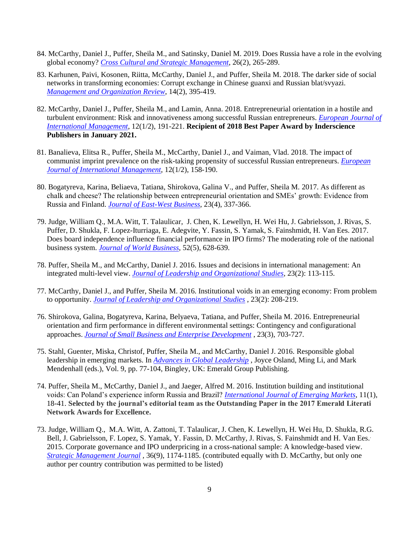- 84. McCarthy, Daniel J., Puffer, Sheila M., and Satinsky, Daniel M. 2019. Does Russia have a role in the evolving global economy? *[Cross Cultural and Strategic Management](https://www.emerald.com/insight/content/doi/10.1108/CCSM-10-2018-0164/full/html)*, 26(2), 265-289.
- 83. Karhunen, Paivi, Kosonen, Riitta, McCarthy, Daniel J., and Puffer, Sheila M. 2018. The darker side of social networks in transforming economies: Corrupt exchange in Chinese guanxi and Russian blat/svyazi. *[Management and Organization Review](https://www.cambridge.org/core/journals/management-and-organization-review/article/darker-side-of-social-networks-in-transforming-economies-corrupt-exchange-in-chinese-guanxi-and-russian-blatsvyazi/F6069CF70F70A3D32A09ACB3CA4574AD)*, 14(2), 395-419.
- 82. McCarthy, Daniel J., Puffer, Sheila M., and Lamin, Anna. 2018. Entrepreneurial orientation in a hostile and turbulent environment: Risk and innovativeness among successful Russian entrepreneurs. *[European Journal of](https://www.inderscienceonline.com/doi/abs/10.1504/EJIM.2018.089033)  [International Management](https://www.inderscienceonline.com/doi/abs/10.1504/EJIM.2018.089033)*, 12(1/2), 191-221. **Recipient of 2018 Best Paper Award by Inderscience Publishers in January 2021.**
- 81. Banalieva, Elitsa R., Puffer, Sheila M., McCarthy, Daniel J., and Vaiman, Vlad. 2018. The impact of communist imprint prevalence on the risk-taking propensity of successful Russian entrepreneurs. *[European](https://www.researchgate.net/publication/319639786_The_impact_of_communist_imprint_prevalence_on_the_risk-taking_propensity_of_successful_Russian_entrepreneurs)  [Journal of International Management](https://www.researchgate.net/publication/319639786_The_impact_of_communist_imprint_prevalence_on_the_risk-taking_propensity_of_successful_Russian_entrepreneurs)*, 12(1/2), 158-190.
- 80. Bogatyreva, Karina, Beliaeva, Tatiana, Shirokova, Galina V., and Puffer, Sheila M. 2017. As different as chalk and cheese? The relationship between entrepreneurial orientation and SMEs' growth: Evidence from Russia and Finland. *[Journal of East-West Business](https://www.tandfonline.com/doi/full/10.1080/10669868.2017.1345819?scroll=top&needAccess=true)*, 23(4), 337-366.
- 79. Judge, William Q., M.A. Witt, T. Talaulicar, J. Chen, K. Lewellyn, H. Wei Hu, J. Gabrielsson, J. Rivas, S. Puffer, D. Shukla, F. Lopez-Iturriaga, E. Adegvite, Y. Fassin, S. Yamak, S. Fainshmidt, H. Van Ees. 2017. Does board independence influence financial performance in IPO firms? The moderating role of the national business system. *[Journal of World Business](https://www.researchgate.net/publication/319307243_Does_Board_Independence_Influence_Financial_Performance_in_IPO_Firms_The_Moderating_Role_of_the_National_Business_System)*, 52(5), 628-639.
- 78. Puffer, Sheila M., and McCarthy, Daniel J. 2016. Issues and decisions in international management: An integrated multi-level view. *[Journal of Leadership and Organizational Studies](https://journals.sagepub.com/doi/full/10.1177/1548051816633069)*, 23(2): 113-115.
- 77. McCarthy, Daniel J., and Puffer, Sheila M. 2016. Institutional voids in an emerging economy: From problem to opportunity. *[Journal of Leadership and Organizational Studies](https://journals.sagepub.com/doi/abs/10.1177/1548051816633070)* , 23(2): 208-219.
- 76. Shirokova, Galina, Bogatyreva, Karina, Belyaeva, Tatiana, and Puffer, Sheila M. 2016. Entrepreneurial orientation and firm performance in different environmental settings: Contingency and configurational approaches. *[Journal of Small Business and Enterprise Development](Journal%20of%20Small%20Business%20and%20Enterprise%20Development/)* , 23(3), 703-727.
- 75. Stahl, Guenter, Miska, Christof, Puffer, Sheila M., and McCarthy, Daniel J. 2016. Responsible global leadership in emerging markets. In *[Advances in Global Leadership](https://www.researchgate.net/publication/306035370_Responsible_Global_Leadership_in_Emerging_Markets)* , Joyce Osland, Ming Li, and Mark Mendenhall (eds.), Vol. 9, pp. 77-104, Bingley, UK: Emerald Group Publishing.
- 74. Puffer, Sheila M., McCarthy, Daniel J., and Jaeger, Alfred M. 2016. Institution building and institutional voids: Can Poland's experience inform Russia and Brazil? *[International Journal of Emerging Markets](https://www.emerald.com/insight/content/doi/10.1108/IJoEM-02-2015-0027/full/html)*, 11(1), 18-41. **Selected by the journal's editorial team as the Outstanding Paper in the 2017 Emerald Literati Network Awards for Excellence.**
- 73. Judge, William Q., M.A. Witt, A. Zattoni, T. Talaulicar, J. Chen, K. Lewellyn, H. Wei Hu, D. Shukla, R.G. Bell, J. Gabrielsson, F. Lopez, S. Yamak, Y. Fassin, D. McCarthy, J. Rivas, S. Fainshmidt and H. Van Ees. 2015. Corporate governance and IPO underpricing in a cross-national sample: A knowledge-based view. *[Strategic Management Journal](https://onlinelibrary.wiley.com/doi/abs/10.1002/smj.2275) ,* 36(9), 1174-1185. (contributed equally with D. McCarthy, but only one author per country contribution was permitted to be listed)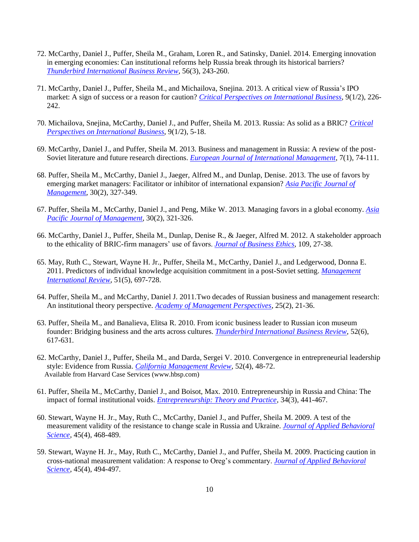- 72. McCarthy, Daniel J., Puffer, Sheila M., Graham, Loren R., and Satinsky, Daniel. 2014. Emerging innovation in emerging economies: Can institutional reforms help Russia break through its historical barriers? *[Thunderbird International Business Review](https://onlinelibrary.wiley.com/doi/abs/10.1002/tie.21619)*, 56(3), 243-260.
- 71. McCarthy, Daniel J., Puffer, Sheila M., and Michailova, Snejina. 2013. A critical view of Russia's IPO market: A sign of success or a reason for caution? *[Critical Perspectives on International Business](https://www.researchgate.net/publication/263413956_A_critical_view_of_Russia)*, 9(1/2), 226- 242.
- 70. Michailova, Snejina, McCarthy, Daniel J., and Puffer, Sheila M. 2013. Russia: As solid as a BRIC? *[Critical](https://www.researchgate.net/publication/263413937_Russia_as_solid_as_a_BRIC)  [Perspectives on International Business](https://www.researchgate.net/publication/263413937_Russia_as_solid_as_a_BRIC)*, 9(1/2), 5-18.
- 69. McCarthy, Daniel J., and Puffer, Sheila M. 2013. Business and management in Russia: A review of the post-Soviet literature and future research directions. *[European Journal of International Management](https://www.researchgate.net/publication/264822719_Business_and_management_in_Russia_A_review_of_the_post-Soviet_literature_and_future_research_directions)*, 7(1), 74-111.
- 68. Puffer, Sheila M., McCarthy, Daniel J., Jaeger, Alfred M., and Dunlap, Denise. 2013. The use of favors by emerging market managers: Facilitator or inhibitor of international expansion? *[Asia Pacific Journal of](https://ideas.repec.org/a/kap/asiapa/v30y2013i2p327-349.html)  [Management](https://ideas.repec.org/a/kap/asiapa/v30y2013i2p327-349.html)*, 30(2), 327-349.
- 67. Puffer, Sheila M., McCarthy, Daniel J., and Peng, Mike W. 2013. Managing favors in a global economy. *[Asia](https://www.researchgate.net/publication/257518602_Managing_favors_in_a_global_economy)  [Pacific Journal of Management](https://www.researchgate.net/publication/257518602_Managing_favors_in_a_global_economy)*, 30(2), 321-326.
- 66. McCarthy, Daniel J., Puffer, Sheila M., Dunlap, Denise R., & Jaeger, Alfred M. 2012. A stakeholder approach to the ethicality of BRIC-firm managers' use of favors. *[Journal of Business Ethics](https://ideas.repec.org/a/kap/jbuset/v109y2012i1p27-38.html)*, 109, 27-38.
- 65. May, Ruth C., Stewart, Wayne H. Jr., Puffer, Sheila M., McCarthy, Daniel J., and Ledgerwood, Donna E. 2011. Predictors of individual knowledge acquisition commitment in a post-Soviet setting. *[Management](https://link.springer.com/article/10.1007/s11575-011-0092-1)  [International Review](https://link.springer.com/article/10.1007/s11575-011-0092-1)*, 51(5), 697-728.
- 64. Puffer, Sheila M., and McCarthy, Daniel J. 2011.Two decades of Russian business and management research: An institutional theory perspective. *[Academy of Management Perspectives](https://www.jstor.org/stable/23045063)*, 25(2), 21-36.
- 63. Puffer, Sheila M., and Banalieva, Elitsa R. 2010. From iconic business leader to Russian icon museum founder: Bridging business and the arts across cultures. *[Thunderbird International Business Review](https://onlinelibrary.wiley.com/doi/abs/10.1002/tie.20383)*, 52(6), 617-631.
- 62. McCarthy, Daniel J., Puffer, Sheila M., and Darda, Sergei V. 2010. Convergence in entrepreneurial leadership style: Evidence from Russia. *[California Management Review](https://cmr.berkeley.edu/search/articleDetail.aspx?article=5574)*, 52(4), 48-72. Available from Harvard Case Services (www.hbsp.com)
- 61. Puffer, Sheila M., McCarthy, Daniel J., and Boisot, Max. 2010. Entrepreneurship in Russia and China: The impact of formal institutional voids. *[Entrepreneurship: Theory and Practice](https://journals.sagepub.com/doi/10.1111/j.1540-6520.2009.00353.x)*, 34(3), 441-467.
- 60. Stewart, Wayne H. Jr., May, Ruth C., McCarthy, Daniel J., and Puffer, Sheila M. 2009. A test of the measurement validity of the resistance to change scale in Russia and Ukraine. *[Journal of Applied Behavioral](http://citeseerx.ist.psu.edu/viewdoc/download?doi=10.1.1.1004.3437&rep=rep1&type=pdf)  [Science](http://citeseerx.ist.psu.edu/viewdoc/download?doi=10.1.1.1004.3437&rep=rep1&type=pdf)*, 45(4), 468-489.
- 59. Stewart, Wayne H. Jr., May, Ruth C., McCarthy, Daniel J., and Puffer, Sheila M. 2009. Practicing caution in cross-national measurement validation: A response to Oreg's commentary. *[Journal of Applied Behavioral](https://journals.sagepub.com/doi/pdf/10.1177/0021886309344951)  [Science](https://journals.sagepub.com/doi/pdf/10.1177/0021886309344951)*, 45(4), 494-497.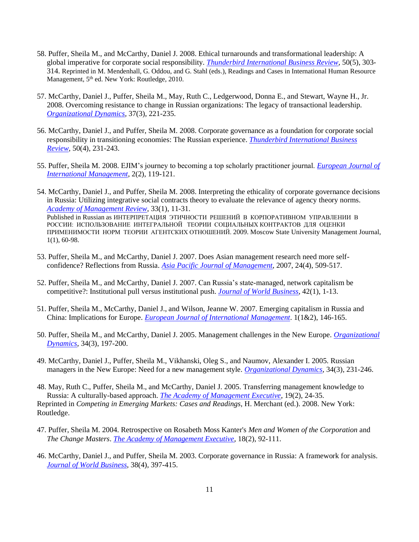- 58. Puffer, Sheila M., and McCarthy, Daniel J. 2008. Ethical turnarounds and transformational leadership: A global imperative for corporate social responsibility. *[Thunderbird International Business Review,](https://onlinelibrary.wiley.com/doi/abs/10.1002/tie.20214)* 50(5), 303- 314. Reprinted in M. Mendenhall, G. Oddou, and G. Stahl (eds.), Readings and Cases in International Human Resource Management, 5<sup>th</sup> ed. New York: Routledge, 2010.
- 57. McCarthy, Daniel J., Puffer, Sheila M., May, Ruth C., Ledgerwood, Donna E., and Stewart, Wayne H., Jr. 2008. Overcoming resistance to change in Russian organizations: The legacy of transactional leadership. *[Organizational Dynamics,](https://www.academia.edu/34134624/Overcoming_Resistance_to_Change_in_Russian_Organizations)* 37(3), 221-235.
- 56. McCarthy, Daniel J., and Puffer, Sheila M. 2008. Corporate governance as a foundation for corporate social responsibility in transitioning economies: The Russian experience. *[Thunderbird International Business](https://www.researchgate.net/publication/229486267_Corporate_governance_as_a_foundation_for_corporate_social_responsibility_in_transitioning_economies_The_Russian_experience)  [Review](https://www.researchgate.net/publication/229486267_Corporate_governance_as_a_foundation_for_corporate_social_responsibility_in_transitioning_economies_The_Russian_experience)*, 50(4), 231-243.
- 55. Puffer, Sheila M. 2008. EJIM's journey to becoming a top scholarly practitioner journal. *[European Journal of](https://www.inderscienceonline.com/doi/abs/10.1504/EJIM.2008.017764)  [International Management](https://www.inderscienceonline.com/doi/abs/10.1504/EJIM.2008.017764)*, 2(2), 119-121.
- 54. McCarthy, Daniel J., and Puffer, Sheila M. 2008. Interpreting the ethicality of corporate governance decisions in Russia: Utilizing integrative social contracts theory to evaluate the relevance of agency theory norms. *[Academy of Management Review](https://journals.aom.org/doi/abs/10.5465/amr.2008.27745006)*, 33(1), 11-31. Published in Russian as ИНТЕРПРЕТАЦИЯ ЭТИЧНОСТИ РЕШЕНИЙ В КОРПОРАТИВНОМ УПРАВЛЕНИИ В РОССИИ: ИСПОЛЬЗОВАНИЕ ИНТЕГРАЛЬНОЙ ТЕОРИИ СОЦИАЛЬНЫХ КОНТРАКТОВ ДЛЯ ОЦЕНКИ ПРИМЕНИМОСТИ НОРМ ТЕОРИИ АГЕНТСКИХ ОТНОШЕНИЙ. 2009. Moscow State University Management Journal, 1(1), 60-98.
- 53. Puffer, Sheila M., and McCarthy, Daniel J. 2007. Does Asian management research need more selfconfidence? Reflections from Russia. *[Asia Pacific Journal of Management](https://www.researchgate.net/publication/5143691_Does_Asian_management_research_need_more_self-confidence_Reflections_from_Russia)*, 2007, 24(4), 509-517.
- 52. Puffer, Sheila M., and McCarthy, Daniel J. 2007. Can Russia's state-managed, network capitalism be competitive?: Institutional pull versus institutional push. *[Journal of World Business](https://www.sciencedirect.com/science/article/abs/pii/S1090951606000496)*, 42(1), 1-13.
- 51. Puffer, Sheila M., McCarthy, Daniel J., and Wilson, Jeanne W. 2007. Emerging capitalism in Russia and China: Implications for Europe. *[European Journal of International Management](https://www.researchgate.net/publication/247835163_Emerging_capitalism_in_Russia_and_China_implications_for_Europe)*. 1(1&2), 146-165.
- 50. Puffer, Sheila M., and McCarthy, Daniel J. 2005. Management challenges in the New Europe. *[Organizational](https://www.researchgate.net/publication/251503896_Management_Challenges_in_the_New_Europe)  [Dynamics](https://www.researchgate.net/publication/251503896_Management_Challenges_in_the_New_Europe)*, 34(3), 197-200.
- 49. McCarthy, Daniel J., Puffer, Sheila M., Vikhanski, Oleg S., and Naumov, Alexander I. 2005. Russian managers in the New Europe: Need for a new management style. *[Organizational Dynamics](https://www.researchgate.net/publication/256923806_Russian_Managers_in_the_New_Europe_Need_for_a_New_Management_Style)*, 34(3), 231-246.
- 48. May, Ruth C., Puffer, Sheila M., and McCarthy, Daniel J. 2005. Transferring management knowledge to Russia: A culturally-based approach. *[The Academy of Management Executive](https://www.jstor.org/stable/4166172)*, 19(2), 24-35. Reprinted in *Competing in Emerging Markets: Cases and Readings*, H. Merchant (ed.). 2008. New York: Routledge.
- 47. Puffer, Sheila M. 2004. Retrospective on Rosabeth Moss Kanter's *Men and Women of the Corporation* and *The Change Masters*. *[The Academy of Management Executive](https://www.jstor.org/stable/4166065)*, 18(2), 92-111.
- 46. McCarthy, Daniel J., and Puffer, Sheila M. 2003. Corporate governance in Russia: A framework for analysis. *[Journal of World Business](https://www.researchgate.net/publication/222266246_Corporate_governance_in_Russia_A_framework_for_analysis)*, 38(4), 397-415.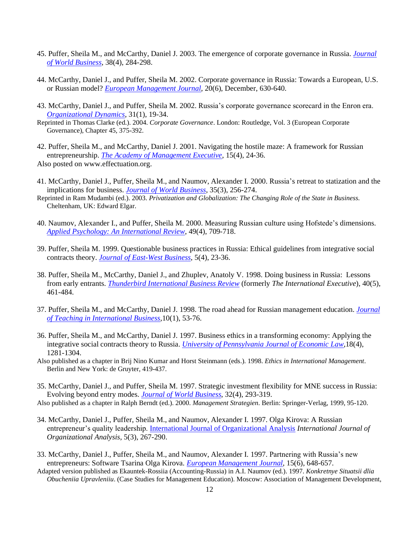- 45. Puffer, Sheila M., and McCarthy, Daniel J. 2003. The emergence of corporate governance in Russia. *[Journal](https://www.sciencedirect.com/science/article/abs/pii/S1090951603000506)  [of World Business](https://www.sciencedirect.com/science/article/abs/pii/S1090951603000506)*, 38(4), 284-298.
- 44. McCarthy, Daniel J., and Puffer, Sheila M. 2002. Corporate governance in Russia: Towards a European, U.S. or Russian model? *[European Management Journal](https://www.sciencedirect.com/science/article/abs/pii/S0263237302001147)*, 20(6), December, 630-640.
- 43. McCarthy, Daniel J., and Puffer, Sheila M. 2002. Russia's corporate governance scorecard in the Enron era. *[Organizational Dynamics](https://www.sciencedirect.com/science/article/abs/pii/S0090261602000694)*, 31(1), 19-34.
- Reprinted in Thomas Clarke (ed.). 2004. *Corporate Governance*. London: Routledge, Vol. 3 (European Corporate Governance), Chapter 45, 375-392.
- 42. Puffer, Sheila M., and McCarthy, Daniel J. 2001. Navigating the hostile maze: A framework for Russian entrepreneurship. *[The Academy of Management Executive](https://www.jstor.org/stable/4165783)*, 15(4), 24-36. Also posted on www.effectuation.org.
- 41. McCarthy, Daniel J., Puffer, Sheila M., and Naumov, Alexander I. 2000. Russia's retreat to statization and the implications for business. *[Journal of World Business](https://www.sciencedirect.com/science/article/abs/pii/S1090951600000389)*, 35(3), 256-274.
- Reprinted in Ram Mudambi (ed.). 2003. *Privatization and Globalization: The Changing Role of the State in Business.*  Cheltenham, UK: Edward Elgar.
- 40. Naumov, Alexander I., and Puffer, Sheila M. 2000. Measuring Russian culture using Hofstede's dimensions. *[Applied Psychology: An International Review](https://www.researchgate.net/publication/229930026_Measuring_Russian_Culture_using_Hofstede)*, 49(4), 709-718.
- 39. Puffer, Sheila M. 1999. Questionable business practices in Russia: Ethical guidelines from integrative social contracts theory. *[Journal of East-West Business](https://www.researchgate.net/publication/232858642_Questionable_Business_Practices_in_Russia)*, 5(4), 23-36.
- 38. Puffer, Sheila M., McCarthy, Daniel J., and Zhuplev, Anatoly V. 1998. Doing business in Russia: Lessons from early entrants. *[Thunderbird International Business Review](https://onlinelibrary.wiley.com/doi/abs/10.1002/tie.4270400504)* (formerly *The International Executive*), 40(5), 461-484.
- 37. Puffer, Sheila M., and McCarthy, Daniel J. 1998. The road ahead for Russian management education. *[Journal](https://www.researchgate.net/publication/232999614_The_Road_Ahead_for_Russian_Management_Education)  [of Teaching in International Business](https://www.researchgate.net/publication/232999614_The_Road_Ahead_for_Russian_Management_Education)*,10(1), 53-76.
- 36. Puffer, Sheila M., and McCarthy, Daniel J. 1997. Business ethics in a transforming economy: Applying the integrative social contracts theory to Russia. *[University of Pennsylvania Journal of Economic Law](https://scholarship.law.upenn.edu/cgi/viewcontent.cgi?article=1442&context=jil)*,18(4), 1281-1304.
- Also published as a chapter in Brij Nino Kumar and Horst Steinmann (eds.). 1998. *Ethics in International Management*. Berlin and New York: de Gruyter, 419-437.
- 35. McCarthy, Daniel J., and Puffer, Sheila M. 1997. Strategic investment flexibility for MNE success in Russia: Evolving beyond entry modes. *[Journal of World Business](https://www.sciencedirect.com/science/article/abs/pii/S1090951697900146)*, 32(4), 293-319.
- Also published as a chapter in Ralph Berndt (ed.). 2000. *Management Strategien*. Berlin: Springer-Verlag, 1999, 95-120.
- 34. McCarthy, Daniel J., Puffer, Sheila M., and Naumov, Alexander I. 1997. Olga Kirova: A Russian entrepreneur's quality leadership[. International Journal of Organizational Analysis](https://www.emerald.com/insight/content/doi/10.1108/eb028870/full/html) *International Journal of Organizational Analysis*, 5(3), 267-290.
- 33. McCarthy, Daniel J., Puffer, Sheila M., and Naumov, Alexander I. 1997. Partnering with Russia's new entrepreneurs: Software Tsarina Olga Kirova*[. European Management Journal](https://www.sciencedirect.com/science/article/abs/pii/S0263237397000480)*, 15(6), 648-657.
- Adapted version published as Ekauntek-Rossiia (Accounting-Russia) in A.I. Naumov (ed.). 1997. *Konkretnye Situatsii dlia Obucheniia Upravleniiu*. (Case Studies for Management Education). Moscow: Association of Management Development,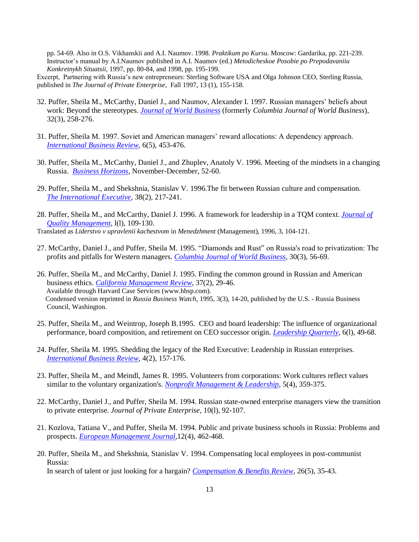pp. 54-69. Also in O.S. Vikhanskii and A.I. Naumov. 1998. *Praktikum po Kursu.* Moscow: Gardarika, pp. 221-239. Instructor's manual by A.I.Naumov published in A.I. Naumov (ed.) *Metodicheskoe Posobie po Prepodavaniiu Konkretnykh Situatsii,* 1997, pp. 80-84, and 1998, pp. 195-199.

Excerpt, Partnering with Russia's new entrepreneurs: Sterling Software USA and Olga Johnson CEO, Sterling Russia, published in *The Journal of Private Enterprise*, Fall 1997, 13 (1), 155-158.

- 32. Puffer, Sheila M., McCarthy, Daniel J., and Naumov, Alexander I. 1997. Russian managers' beliefs about work: Beyond the stereotypes. *[Journal of World Business](https://www.sciencedirect.com/science/article/abs/pii/S1090951697900110)* (formerly *Columbia Journal of World Business*), 32(3), 258-276.
- 31. Puffer, Sheila M. 1997. Soviet and American managers' reward allocations: A dependency approach. *[International Business Review](https://www.sciencedirect.com/science/article/abs/pii/S0969593197000164)*, 6(5), 453-476.
- 30. Puffer, Sheila M., McCarthy, Daniel J., and Zhuplev, Anatoly V. 1996. Meeting of the mindsets in a changing Russia. *[Business Horizons](https://www.sciencedirect.com/science/article/pii/S0007681396900373)*, November-December, 52-60.
- 29. Puffer, Sheila M., and Shekshnia, Stanislav V. 1996.The fit between Russian culture and compensation. *[The International Executive](https://onlinelibrary.wiley.com/doi/abs/10.1002/tie.5060380204)*, 38(2), 217-241.
- 28. Puffer, Sheila M., and McCarthy, Daniel J. 1996. A framework for leadership in a TQM context. *[Journal of](https://www.sciencedirect.com/science/article/abs/pii/S1084856896900085)  [Quality Management,](https://www.sciencedirect.com/science/article/abs/pii/S1084856896900085)* l(l), 109-130.

Translated as *Liderstvo v upravlenii kachestvom* in *Menedzhment* (Management), 1996, 3, 104-121.

- 27. McCarthy, Daniel J., and Puffer, Sheila M. 1995. "Diamonds and Rust" on Russia's road to privatization: The profits and pitfalls for Western managers*[. Columbia Journal of World Business](https://www.sciencedirect.com/science/article/abs/pii/0022542895900144)*, 30(3), 56-69.
- 26. Puffer, Sheila M., and McCarthy, Daniel J. 1995. Finding the common ground in Russian and American business ethics. *[California Management Review,](https://www.researchgate.net/publication/272589459_Finding_the_Common_Ground_in_Russian_and_American_Business_Ethics)* 37(2), 29-46. Available through Harvard Case Services [\(www.hbsp.com\)](http://www.hbsp.com/). Condensed version reprinted in *Russia Business Watch*, 1995, 3(3), 14-20, published by the U.S. - Russia Business Council, Washington.
- 25. Puffer, Sheila M., and Weintrop, Joseph B.1995. CEO and board leadership: The influence of organizational performance, board composition, and retirement on CEO successor origin. *[Leadership Quarterly](https://www.sciencedirect.com/science/article/pii/1048984395900047)*, 6(l), 49-68.
- 24. Puffer, Sheila M. 1995. Shedding the legacy of the Red Executive: Leadership in Russian enterprises. *[International Business Review](https://www.sciencedirect.com/science/article/abs/pii/096959319500003I)*, 4(2), 157-176.
- 23. Puffer, Sheila M., and Meindl, James R. 1995. Volunteers from corporations: Work cultures reflect values similar to the voluntary organization's. *[Nonprofit Management & Leadership](https://onlinelibrary.wiley.com/doi/abs/10.1002/nml.4130050404)*, 5(4), 359-375.
- 22. McCarthy, Daniel J., and Puffer, Sheila M. 1994. Russian state-owned enterprise managers view the transition to private enterprise. *Journal of Private Enterprise,* 10(l), 92-107.
- 21. Kozlova, Tatiana V., and Puffer, Sheila M. 1994. Public and private business schools in Russia: Problems and prospects. *[European Management Journal,](https://www.sciencedirect.com/science/article/abs/pii/0263237394900329)*12(4), 462-468.
- 20. Puffer, Sheila M., and Shekshnia, Stanislav V. 1994. Compensating local employees in post-communist Russia: In search of talent or just looking for a bargain? *[Compensation & Benefits Review,](https://journals.sagepub.com/doi/pdf/10.1177/088636879402600508)* 26(5), 35-43.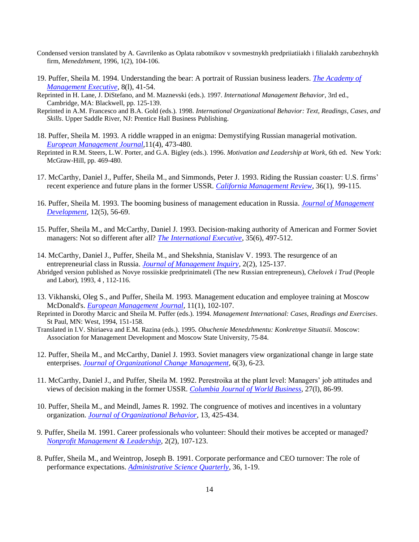- Condensed version translated by A. Gavrilenko as Oplata rabotnikov v sovmestnykh predpriiatiiakh i filialakh zarubezhnykh firm, *Menedzhment*, 1996, 1(2), 104-106.
- 19. Puffer, Sheila M. 1994. Understanding the bear: A portrait of Russian business leaders. *[The Academy of](https://journals.aom.org/doi/abs/10.5465/ame.1994.9411302386)  [Management Executive](https://journals.aom.org/doi/abs/10.5465/ame.1994.9411302386)*, 8(l), 41-54.
- Reprinted in H. Lane, J. DiStefano, and M. Maznevski (eds.). 1997. *International Management Behavior*, 3rd ed., Cambridge, MA: Blackwell, pp. 125-139.
- Reprinted in A.M. Francesco and B.A. Gold (eds.). 1998. *International Organizational Behavior: Text, Readings, Cases, and Skills*. Upper Saddle River, NJ: Prentice Hall Business Publishing.
- 18. Puffer, Sheila M. 1993. A riddle wrapped in an enigma: Demystifying Russian managerial motivation. *[European Management Journal,](https://www.sciencedirect.com/science/article/abs/pii/0263237393900116)*11(4), 473-480.
- Reprinted in R.M. Steers, L.W. Porter, and G.A. Bigley (eds.). 1996. *Motivation and Leadership at Work*, 6th ed. New York: McGraw-Hill, pp. 469-480.
- 17. McCarthy, Daniel J., Puffer, Sheila M., and Simmonds, Peter J. 1993. Riding the Russian coaster: U.S. firms' recent experience and future plans in the former USSR. *[California Management Review](https://journals.sagepub.com/doi/10.2307/41165736)*, 36(1), 99-115.
- 16. Puffer, Sheila M. 1993. The booming business of management education in Russia. *[Journal of Management](https://www.emerald.com/insight/content/doi/10.1108/02621719310038962/full/html)  [Development](https://www.emerald.com/insight/content/doi/10.1108/02621719310038962/full/html)*, 12(5), 56-69.
- 15. Puffer, Sheila M., and McCarthy, Daniel J. 1993. Decision-making authority of American and Former Soviet managers: Not so different after all? *[The International Executive](https://journals.sagepub.com/doi/10.1177/105649269322002)*, 35(6), 497-512.
- 14. McCarthy, Daniel J., Puffer, Sheila M., and Shekshnia, Stanislav V. 1993. The resurgence of an entrepreneurial class in Russia. *[Journal of Management Inquiry,](https://journals.sagepub.com/doi/10.1177/105649269322002)* 2(2), 125-137.
- Abridged version published as Novye rossiiskie predprinimateli (The new Russian entrepreneurs), *Chelovek i Trud* (People and Labor), 1993, 4 , 112-116.
- 13. Vikhanski, Oleg S., and Puffer, Sheila M. 1993. Management education and employee training at Moscow McDonald's. *[European Management Journal](https://www.sciencedirect.com/science/article/abs/pii/026323739390030L)*, 11(1), 102-107.
- Reprinted in Dorothy Marcic and Sheila M. Puffer (eds.). 1994. *Management International: Cases, Readings and Exercises*. St Paul, MN: West, 1994, 151-158.
- Translated in I.V. Shiriaeva and E.M. Razina (eds.). 1995. *Obuchenie Menedzhmentu: Konkretnye Situatsii.* Moscow: Association for Management Development and Moscow State University, 75-84.
- 12. Puffer, Sheila M., and McCarthy, Daniel J. 1993. Soviet managers view organizational change in large state enterprises. *[Journal of Organizational Change Management,](https://www.emerald.com/insight/content/doi/10.1108/09534819310042605/full/html)* 6(3), 6-23.
- 11. McCarthy, Daniel J., and Puffer, Sheila M. 1992. Perestroika at the plant level: Managers' job attitudes and views of decision making in the former USSR. *[Columbia Journal of World Business,](https://go.gale.com/ps/anonymous?id=GALE%7CA12420737&sid=googleScholar&v=2.1&it=r&linkaccess=abs&issn=00225428&p=AONE&sw=w)* 27(l), 86-99.
- 10. Puffer, Sheila M., and Meindl, James R. 1992. The congruence of motives and incentives in a voluntary organization. *[Journal of Organizational Behavior,](https://www.jstor.org/stable/2488069)* 13, 425-434.
- 9. Puffer, Sheila M. 1991. Career professionals who volunteer: Should their motives be accepted or managed? *[Nonprofit Management & Leadership,](https://onlinelibrary.wiley.com/doi/abs/10.1002/nml.4130020203)* 2(2), 107-123.
- 8. Puffer, Sheila M., and Weintrop, Joseph B. 1991. Corporate performance and CEO turnover: The role of performance expectations. *[Administrative Science Quarterly](https://www.jstor.org/stable/2393427)*, 36, 1-19.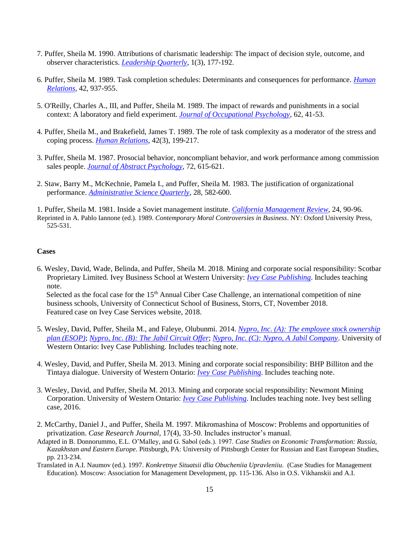- 7. Puffer, Sheila M. 1990. Attributions of charismatic leadership: The impact of decision style, outcome, and observer characteristics. *[Leadership Quarterly](https://www.sciencedirect.com/science/article/pii/104898439090019E)*, 1(3), 177-192.
- 6. Puffer, Sheila M. 1989. Task completion schedules: Determinants and consequences for performance. *[Human](https://journals.sagepub.com/doi/abs/10.1177/001872678904201005)  [Relations](https://journals.sagepub.com/doi/abs/10.1177/001872678904201005)*, 42, 937-955.
- 5. O'Reilly, Charles A., III, and Puffer, Sheila M. 1989. The impact of rewards and punishments in a social context: A laboratory and field experiment. *[Journal of Occupational Psychology,](https://www.researchgate.net/publication/230241431_The_impact_of_rewards_and_punishments_in_a_social_context_A_laboratory_and_field_experiment)* 62, 41-53.
- 4. Puffer, Sheila M., and Brakefield, James T. 1989. The role of task complexity as a moderator of the stress and coping process. *[Human Relations](https://journals.sagepub.com/doi/abs/10.1177/001872678904200301?journalCode=huma)*, 42(3), 199-217.
- 3. Puffer, Sheila M. 1987. Prosocial behavior, noncompliant behavior, and work performance among commission sales people. *[Journal of Abstract Psychology](https://psycnet.apa.org/record/1988-09304-001)*, 72, 615-621.
- 2. Staw, Barry M., McKechnie, Pamela I., and Puffer, Sheila M. 1983. The justification of organizational performance. *[Administrative Science Quarterly](https://www.jstor.org/stable/2393010)*, 28, 582-600.

1. Puffer, Sheila M. 1981. Inside a Soviet management institute. *[California Management Review](https://cmr.berkeley.edu/search/articleDetail.aspx?article=4362)*, 24, 90-96. Reprinted in A. Pablo Iannone (ed.). 1989. *Contemporary Moral Controversies in Business*. NY: Oxford University Press, 525-531.

#### **Cases**

- 6. Wesley, David, Wade, Belinda, and Puffer, Sheila M. 2018. Mining and corporate social responsibility: Scotbar Proprietary Limited. Ivey Business School at Western University: *[Ivey Case Publishing](https://www.iveycases.com/ProductView.aspx?id=96118)*. Includes teaching note. Selected as the focal case for the 15<sup>th</sup> Annual Ciber Case Challenge, an international competition of nine business schools, University of Connecticut School of Business, Storrs, CT, November 2018. Featured case on Ivey Case Services website, 2018.
- 5. Wesley, David, Puffer, Sheila M., and Faleye, Olubunmi. 2014. *[Nypro, Inc. \(A\): The employee stock ownership](https://www.iveycases.com/ProductView.aspx?id=67713)  [plan \(ESOP\)](https://www.iveycases.com/ProductView.aspx?id=67713)*; *[Nypro, Inc. \(B\): The Jabil Circuit Offer](https://www.iveycases.com/ProductView.aspx?id=67714)*; *[Nypro, Inc. \(C\): Nypro, A Jabil Company](https://www.iveycases.com/ProductView.aspx?id=67715)*. University of Western Ontario: Ivey Case Publishing. Includes teaching note.
- 4. Wesley, David, and Puffer, Sheila M. 2013. Mining and corporate social responsibility: BHP Billiton and the Tintaya dialogue. University of Western Ontario: *[Ivey Case Publishing](https://www.iveycases.com/ProductView.aspx?id=53823)*. Includes teaching note.
- 3. Wesley, David, and Puffer, Sheila M. 2013. Mining and corporate social responsibility: Newmont Mining Corporation. University of Western Ontario: *[Ivey Case Publishing](https://www.iveycases.com/ProductView.aspx?id=53843)*. Includes teaching note. Ivey best selling case, 2016.
- 2. McCarthy, Daniel J., and Puffer, Sheila M. 1997. Mikromashina of Moscow: Problems and opportunities of privatization. *Case Research Journal*, 17(4), 33-50. Includes instructor's manual.
- Adapted in B. Donnorummo, E.L. O'Malley, and G. Sabol (eds.). 1997. *Case Studies on Economic Transformation: Russia, Kazakhstan and Eastern Europe*. Pittsburgh, PA: University of Pittsburgh Center for Russian and East European Studies, pp. 213-234.
- Translated in A.I. Naumov (ed.). 1997. *Konkretnye Situatsii dlia Obucheniia Upravleniiu*. (Case Studies for Management Education). Moscow: Association for Management Development, pp. 115-136. Also in O.S. Vikhanskii and A.I.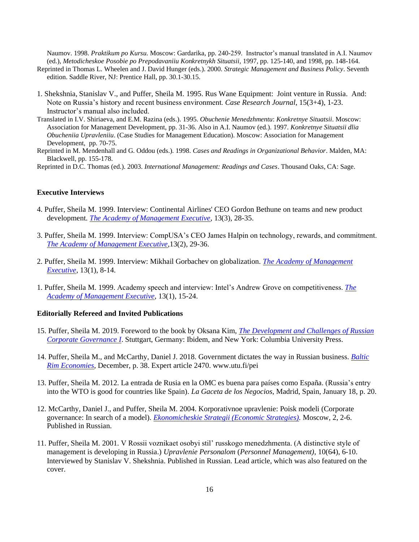Naumov. 1998. *Praktikum po Kursu.* Moscow: Gardarika, pp. 240-259. Instructor's manual translated in A.I. Naumov (ed.), *Metodicheskoe Posobie po Prepodavaniiu Konkretnykh Situatsii,* 1997, pp. 125-140, and 1998, pp. 148-164.

- Reprinted in Thomas L. Wheelen and J. David Hunger (eds.). 2000. *Strategic Management and Business Policy*. Seventh edition. Saddle River, NJ: Prentice Hall, pp. 30.1-30.15.
- 1. Shekshnia, Stanislav V., and Puffer, Sheila M. 1995. Rus Wane Equipment: Joint venture in Russia. And: Note on Russia's history and recent business environment. *Case Research Journal*, 15(3+4), 1-23. Instructor's manual also included.
- Translated in I.V. Shiriaeva, and E.M. Razina (eds.). 1995. *Obuchenie Menedzhmentu*: *Konkretnye Situatsii*. Moscow: Association for Management Development, pp. 31-36. Also in A.I. Naumov (ed.). 1997. *Konkretnye Situatsii dlia Obucheniia Upravleniiu*. (Case Studies for Management Education). Moscow: Association for Management Development, pp. 70-75.
- Reprinted in M. Mendenhall and G. Oddou (eds.). 1998. *Cases and Readings in Organizational Behavior*. Malden, MA: Blackwell, pp. 155-178.

Reprinted in D.C. Thomas (ed.). 2003. *International Management: Readings and Cases*. Thousand Oaks, CA: Sage.

# **Executive Interviews**

- 4. Puffer, Sheila M. 1999. Interview: Continental Airlines' CEO Gordon Bethune on teams and new product development. *[The Academy of Management Executive](https://www.jstor.org/stable/4165562)*, 13(3), 28-35.
- 3. Puffer, Sheila M. 1999. Interview: CompUSA's CEO James Halpin on technology, rewards, and commitment. *[The Academy of Management Executive](https://www.jstor.org/stable/4165537)*,13(2), 29-36.
- 2. Puffer, Sheila M. 1999. Interview: Mikhail Gorbachev on globalization. *[The Academy of Management](https://journals.aom.org/doi/10.5465/ame.1999.1567269)  [Executive](https://journals.aom.org/doi/10.5465/ame.1999.1567269)*, 13(1), 8-14.
- 1. Puffer, Sheila M. 1999. Academy speech and interview: Intel's Andrew Grove on competitiveness. *[The](https://journals.aom.org/doi/abs/10.5465/ame.1999.1567273?related-urls=yesl13%2F1%2F15c13%2F1%2F15c13%2F1%2F15)  [Academy of Management Executive](https://journals.aom.org/doi/abs/10.5465/ame.1999.1567273?related-urls=yesl13%2F1%2F15c13%2F1%2F15c13%2F1%2F15)*, 13(1), 15-24.

#### **Editorially Refereed and Invited Publications**

- 15. Puffer, Sheila M. 2019. Foreword to the book by Oksana Kim, *[The Development and Challenges of Russian](https://www.amazon.com/Development-Challenges-Russian-Corporate-Governance/dp/383821287)  [Corporate Governance I](https://www.amazon.com/Development-Challenges-Russian-Corporate-Governance/dp/383821287)*. Stuttgart, Germany: Ibidem, and New York: Columbia University Press.
- 14. Puffer, Sheila M., and McCarthy, Daniel J. 2018. Government dictates the way in Russian business. *[Baltic](https://www.utu.fi/sites/default/files/media/drupal/BRE_4_2018.pdf)  [Rim Economies](https://www.utu.fi/sites/default/files/media/drupal/BRE_4_2018.pdf)*, December, p. 38. Expert article 2470. www.utu.fi/pei
- 13. Puffer, Sheila M. 2012. La entrada de Rusia en la OMC es buena para países como España. (Russia's entry into the WTO is good for countries like Spain). *La Gaceta de los Negocios*, Madrid, Spain, January 18, p. 20.
- 12. McCarthy, Daniel J., and Puffer, Sheila M. 2004. Korporativnoe upravlenie: Poisk modeli (Corporate governance: In search of a model). *[Ekonomicheskie Strategii \(Economic Strategies\).](https://www.amazon.com/Corporate-Governance-Russia-Sheila-Puffer/dp/1843762056)* Moscow, 2, 2-6. Published in Russian.
- 11. Puffer, Sheila M. 2001. V Rossii voznikaet osobyi stil' russkogo menedzhmenta. (A distinctive style of management is developing in Russia.) *Upravlenie Personalom* (*Personnel Management)*, 10(64), 6-10. Interviewed by Stanislav V. Shekshnia. Published in Russian. Lead article, which was also featured on the cover.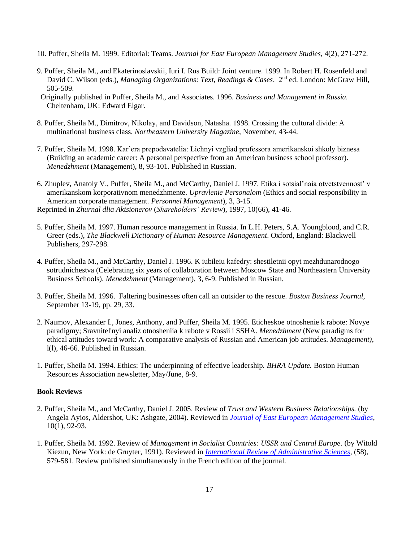- 10. Puffer, Sheila M. 1999. Editorial: Teams. *Journal for East European Management Studies*, 4(2), 271-272.
- 9. Puffer, Sheila M., and Ekaterinoslavskii, Iuri I. Rus Build: Joint venture. 1999. In Robert H. Rosenfeld and David C. Wilson (eds.), *Managing Organizations: Text, Readings & Cases*. 2nd ed. London: McGraw Hill, 505-509.
- Originally published in Puffer, Sheila M., and Associates. 1996. *Business and Management in Russia.* Cheltenham, UK: Edward Elgar.
- 8. Puffer, Sheila M., Dimitrov, Nikolay, and Davidson, Natasha. 1998. Crossing the cultural divide: A multinational business class. *Northeastern University Magazine*, November, 43-44.
- 7. Puffer, Sheila M. 1998. Kar'era prepodavatelia: Lichnyi vzgliad professora amerikanskoi shkoly biznesa (Building an academic career: A personal perspective from an American business school professor). *Menedzhment* (Management), 8, 93-101. Published in Russian.
- 6. Zhuplev, Anatoly V., Puffer, Sheila M., and McCarthy, Daniel J. 1997. Etika i sotsial'naia otvetstvennost' v amerikanskom korporativnom menedzhmente. *Upravlenie Personalom* (Ethics and social responsibility in American corporate management. *Personnel Management*), 3, 3-15. Reprinted in *Zhurnal dlia Aktsionerov* (*Shareholders' Review*), 1997, 10(66), 41-46.
- 5. Puffer, Sheila M. 1997. Human resource management in Russia. In L.H. Peters, S.A. Youngblood, and C.R. Greer (eds.), *The Blackwell Dictionary of Human Resource Management*. Oxford, England: Blackwell Publishers, 297-298.
- 4. Puffer, Sheila M., and McCarthy, Daniel J. 1996. K iubileiu kafedry: shestiletnii opyt mezhdunarodnogo sotrudnichestva (Celebrating six years of collaboration between Moscow State and Northeastern University Business Schools). *Menedzhment* (Management), 3, 6-9. Published in Russian.
- 3. Puffer, Sheila M. 1996. Faltering businesses often call an outsider to the rescue. *Boston Business Journal*, September 13-19, pp. 29, 33.
- 2. Naumov, Alexander I., Jones, Anthony, and Puffer, Sheila M. 1995. Eticheskoe otnoshenie k rabote: Novye paradigmy; Sravnitel'nyi analiz otnosheniia k rabote v Rossii i SSHA. *Menedzhment* (New paradigms for ethical attitudes toward work: A comparative analysis of Russian and American job attitudes. *Management)*, l(l), 46-66. Published in Russian.
- 1. Puffer, Sheila M. 1994. Ethics: The underpinning of effective leadership. *BHRA Update.* Boston Human Resources Association newsletter, May/June, 8-9.

# **Book Reviews**

- 2. Puffer, Sheila M., and McCarthy, Daniel J. 2005. Review of *Trust and Western Business Relationships.* (by Angela Ayios, Aldershot, UK: Ashgate, 2004). Reviewed in *[Journal of East European Management Studies](https://www.questia.com/library/journal/1P3-804578201/angela-ayios-trust-and-western-russian-business)*, 10(1), 92-93.
- 1. Puffer, Sheila M. 1992. Review of *Management in Socialist Countries: USSR and Central Europe*. (by Witold Kiezun, New York: de Gruyter, 1991). Reviewed in *[International Review of Administrative Sciences,](https://journals.sagepub.com/doi/pdf/10.1177/002085239205800407)* (58), 579-581. Review published simultaneously in the French edition of the journal.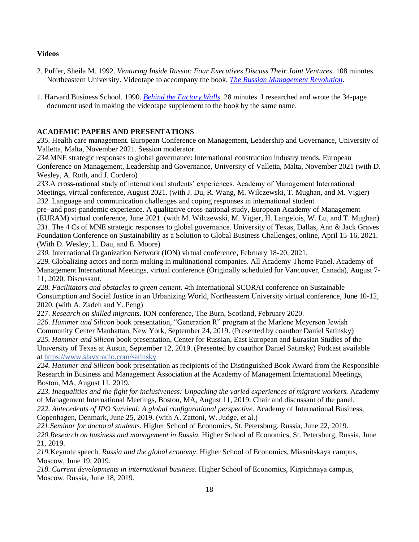#### **Videos**

- 2. Puffer, Sheila M. 1992. *Venturing Inside Russia: Four Executives Discuss Their Joint Ventures*. 108 minutes. Northeastern University. Videotape to accompany the book, *[The Russian Management Revolution](https://www.amazon.com/Russian-Management-Revolution-Preparing-Managers/dp/1563240432)*.
- 1. Harvard Business School. 1990. *[Behind the Factory Walls](https://www.amazon.com/Behind-Factory-Walls-Decision-Enterprises/dp/0071032479)*. 28 minutes. I researched and wrote the 34-page document used in making the videotape supplement to the book by the same name.

## **ACADEMIC PAPERS AND PRESENTATIONS**

*235.* Health care management. European Conference on Management, Leadership and Governance, University of Valletta, Malta, November 2021. Session moderator.

*234.*MNE strategic responses to global governance: International construction industry trends. European Conference on Management, Leadership and Governance, University of Valletta, Malta, November 2021 (with D. Wesley, A. Roth, and J. Cordero)

*233*.A cross-national study of international students' experiences. Academy of Management International Meetings, virtual conference, August 2021. (with J. Du, R. Wang, M. Wilczewski, T. Mughan, and M. Vigier) *232.* Language and communication challenges and coping responses in international student

pre- and post-pandemic experience. A qualitative cross-national study, European Academy of Management (EURAM) virtual conference, June 2021. (with M. Wilczewski, M. Vigier, H. Langelois, W. Lu, and T. Mughan) *231.* The 4 Cs of MNE strategic responses to global governance. University of Texas, Dallas, Ann & Jack Graves Foundation Conference on Sustainability as a Solution to Global Business Challenges, online, April 15-16, 2021. (With D. Wesley, L. Dau, and E. Moore)

*230.* International Organization Network (ION) virtual conference, February 18-20, 2021.

*229.* Globalizing actors and norm-making in multinational companies. All Academy Theme Panel. Academy of Management International Meetings, virtual conference (Originally scheduled for Vancouver, Canada), August 7- 11, 2020. Discussant.

*228. Facilitators and obstacles to green cement.* 4th International SCORAI conference on Sustainable Consumption and Social Justice in an Urbanizing World, Northeastern University virtual conference, June 10-12, 2020. (with A. Zadeh and Y. Peng)

227. *Research on skilled migrants.* ION conference, The Burn, Scotland, February 2020.

*226*. *Hammer and Silicon* book presentation, "Generation R" program at the Marlene Meyerson Jewish Community Center Manhattan, New York, September 24, 2019. (Presented by coauthor Daniel Satinsky) *225. Hammer and Silicon* book presentation, Center for Russian, East European and Eurasian Studies of the University of Texas at Austin, September 12, 2019. (Presented by coauthor Daniel Satinsky) Podcast available at <https://www.slavxradio.com/satinsky>

*224. Hammer and Silicon* book presentation as recipients of the Distinguished Book Award from the Responsible Research in Business and Management Association at the Academy of Management International Meetings, Boston, MA, August 11, 2019.

*223. Inequalities and the fight for inclusiveness: Unpacking the varied experiences of migrant workers.* Academy of Management International Meetings, Boston, MA, August 11, 2019. Chair and discussant of the panel. *222. Antecedents of IPO Survival: A global configurational perspective.* Academy of International Business, Copenhagen, Denmark, June 25, 2019. (with A. Zattoni, W. Judge, et al.)

*221.Seminar for doctoral students.* Higher School of Economics, St. Petersburg, Russia, June 22, 2019. *220.Research on business and management in Russia.* Higher School of Economics, St. Petersburg, Russia, June 21, 2019.

*219.*Keynote speech. *Russia and the global economy*. Higher School of Economics, Miasnitskaya campus, Moscow, June 19, 2019.

*218. Current developments in international business.* Higher School of Economics, Kirpichnaya campus, Moscow, Russia, June 18, 2019.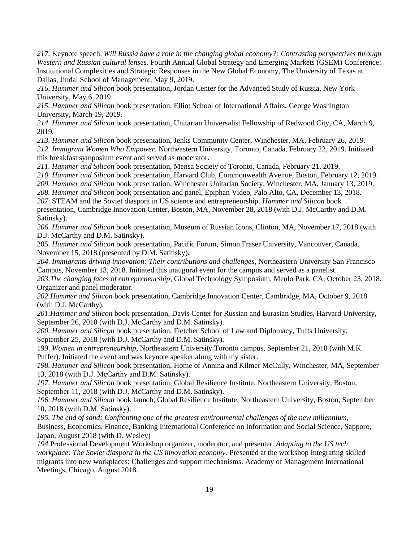*217.* Keynote speech. *Will Russia have a role in the changing global economy?: Contrasting perspectives through Western and Russian cultural lenses.* Fourth Annual Global Strategy and Emerging Markets (GSEM) Conference: Institutional Complexities and Strategic Responses in the New Global Economy, The University of Texas at Dallas, Jindal School of Management, May 9, 2019.

*216. Hammer and Silicon* book presentation, Jordan Center for the Advanced Study of Russia, New York University, May 6, 2019.

*215. Hammer and Silicon* book presentation, Elliot School of International Affairs, George Washington University, March 19, 2019.

*214. Hammer and Silicon* book presentation, Unitarian Universalist Fellowship of Redwood City, CA, March 9, 2019.

*213. Hammer and Silicon* book presentation, Jenks Community Center, Winchester, MA, February 26, 2019.

*212. Immigrant Women Who Empower.* Northeastern University, Toronto, Canada, February 22, 2019. Initiated this breakfast symposium event and served as moderator.

*211. Hammer and Silicon* book presentation, Mensa Society of Toronto, Canada, February 21, 2019.

*210. Hammer and Silicon* book presentation, Harvard Club, Commonwealth Avenue, Boston, February 12, 2019.

*209. Hammer and Silicon* book presentation, Winchester Unitarian Society, Winchester, MA, January 13, 2019.

*208. Hammer and Silicon* book presentation and panel, Epiphan Video, Palo Alto, CA, December 13, 2018.

*207.* STEAM and the Soviet diaspora in US science and entrepreneurship. *Hammer and Silicon* book presentation*,* Cambridge Innovation Center, Boston, MA, November 28, 2018 (with D.J. McCarthy and D.M. Satinsky).

*206. Hammer and Silicon* book presentation, Museum of Russian Icons, Clinton, MA, November 17, 2018 (with D.J. McCarthy and D.M. Satinsky).

205. *Hammer and Silicon* book presentation, Pacific Forum, Simon Fraser University, Vancouver, Canada, November 15, 2018 (presented by D.M. Satinsky).

*204*. *Immigrants driving innovation: Their contributions and challenges*, Northeastern University San Francisco Campus, November 13, 2018. Initiated this inaugural event for the campus and served as a panelist.

*203.The changing faces of entrepreneurship,* Global Technology Symposium, Menlo Park, CA, October 23, 2018. Organizer and panel moderator.

*202.Hammer and Silicon* book presentation, Cambridge Innovation Center, Cambridge, MA, October 9, 2018 (with D.J. McCarthy).

*201.Hammer and Silicon* book presentation, Davis Center for Russian and Eurasian Studies, Harvard University, September 26, 2018 (with D.J. McCarthy and D.M. Satinsky).

*200. Hammer and Silicon* book presentation, Fletcher School of Law and Diplomacy, Tufts University, September 25, 2018 (with D.J. McCarthy and D.M. Satinsky).

199. *Women in entrepreneurship*, Northeastern University Toronto campus, September 21, 2018 (with M.K. Puffer). Initiated the event and was keynote speaker along with my sister.

*198. Hammer and Silicon* book presentation, Home of Annina and Kilmer McCully, Winchester, MA, September 13, 2018 (with D.J. McCarthy and D.M. Satinsky).

*197. Hammer and Silicon* book presentation, Global Resilience Institute, Northeastern University, Boston, September 11, 2018 (with D.J. McCarthy and D.M. Satinsky).

*196. Hammer and Silicon* book launch, Global Resilience Institute, Northeastern University, Boston, September 10, 2018 (with D.M. Satinsky).

*195. The end of sand: Confronting one of the greatest environmental challenges of the new millennium,*  Business, Economics, Finance, Banking International Conference on Information and Social Science, Sapporo, Japan, August 2018 (with D. Wesley)

*194.*Professional Development Workshop organizer, moderator, and presenter. *Adapting to the US tech workplace: The Soviet diaspora in the US innovation economy.* Presented at the workshop Integrating skilled migrants into new workplaces: Challenges and support mechanisms. Academy of Management International Meetings, Chicago, August 2018.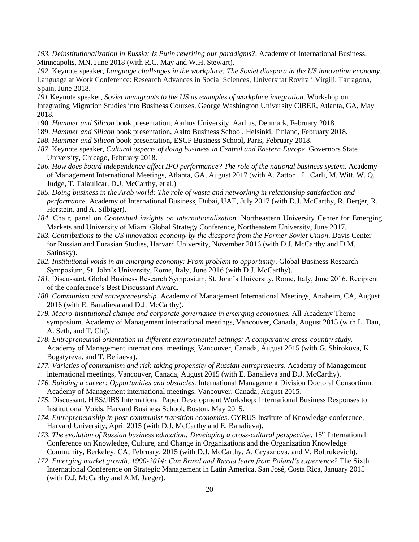*193. Deinstitutionalization in Russia: Is Putin rewriting our paradigms?*, Academy of International Business, Minneapolis, MN, June 2018 (with R.C. May and W.H. Stewart).

*192.* Keynote speaker, *Language challenges in the workplace: The Soviet diaspora in the US innovation economy*, Language at Work Conference: Research Advances in Social Sciences, Universitat Rovira i Virgili, Tarragona, Spain, June 2018.

*191.*Keynote speaker, *Soviet immigrants to the US as examples of workplace integration*. Workshop on Integrating Migration Studies into Business Courses, George Washington University CIBER, Atlanta, GA, May 2018.

- 190. *Hammer and Silicon* book presentation, Aarhus University, Aarhus, Denmark, February 2018.
- 189. *Hammer and Silicon* book presentation, Aalto Business School, Helsinki, Finland, February 2018.
- *188. Hammer and Silicon* book presentation, ESCP Business School, Paris, February 2018.
- *187.* Keynote speaker, *Cultural aspects of doing business in Central and Eastern Europe,* Governors State University, Chicago, February 2018.
- *186. How does board independence affect IPO performance? The role of the national business system.* Academy of Management International Meetings, Atlanta, GA, August 2017 (with A. Zattoni, L. Carli, M. Witt, W. Q. Judge, T. Talaulicar, D.J. McCarthy, et al.)
- *185. Doing business in the Arab world: The role of wasta and networking in relationship satisfaction and performance.* Academy of International Business, Dubai, UAE, July 2017 (with D.J. McCarthy, R. Berger, R. Herstein, and A. Silbiger).
- *184.* Chair, panel on *Contextual insights on internationalization*. Northeastern University Center for Emerging Markets and University of Miami Global Strategy Conference, Northeastern University, June 2017.
- *183. Contributions to the US innovation economy by the diaspora from the Former Soviet Union*. Davis Center for Russian and Eurasian Studies, Harvard University, November 2016 (with D.J. McCarthy and D.M. Satinsky).
- *182. Institutional voids in an emerging economy: From problem to opportunity.* Global Business Research Symposium, St. John's University, Rome, Italy, June 2016 (with D.J. McCarthy).
- *181.* Discussant. Global Business Research Symposium, St. John's University, Rome, Italy, June 2016. Recipient of the conference's Best Discussant Award.
- *180. Communism and entrepreneurship.* Academy of Management International Meetings, Anaheim, CA, August 2016 (with E. Banalieva and D.J. McCarthy).
- *179. Macro-institutional change and corporate governance in emerging economies.* All-Academy Theme symposium. Academy of Management international meetings, Vancouver, Canada, August 2015 (with L. Dau, A. Seth, and T. Chi).
- *178. Entrepreneurial orientation in different environmental settings: A comparative cross-country study.* Academy of Management international meetings, Vancouver, Canada, August 2015 (with G. Shirokova, K. Bogatyreva, and T. Beliaeva).
- *177. Varieties of communism and risk-taking propensity of Russian entrepreneurs*. Academy of Management international meetings, Vancouver, Canada, August 2015 (with E. Banalieva and D.J. McCarthy).
- *176*. *Building a career: Opportunities and obstacles.* International Management Division Doctoral Consortium. Academy of Management international meetings, Vancouver, Canada, August 2015.
- *175.* Discussant. HBS/JIBS International Paper Development Workshop: International Business Responses to Institutional Voids, Harvard Business School, Boston, May 2015.
- *174. Entrepreneurship in post-communist transition economies*. CYRUS Institute of Knowledge conference, Harvard University, April 2015 (with D.J. McCarthy and E. Banalieva).
- 173. The evolution of Russian business education: Developing a cross-cultural perspective. 15<sup>th</sup> International Conference on Knowledge, Culture, and Change in Organizations and the Organization Knowledge Community, Berkeley, CA, February, 2015 (with D.J. McCarthy, A. Gryaznova, and V. Boltrukevich).
- *172*. *Emerging market growth, 1990-2014: Can Brazil and Russia learn from Poland's experience?* The Sixth International Conference on Strategic Management in Latin America, San José, Costa Rica, January 2015 (with D.J. McCarthy and A.M. Jaeger).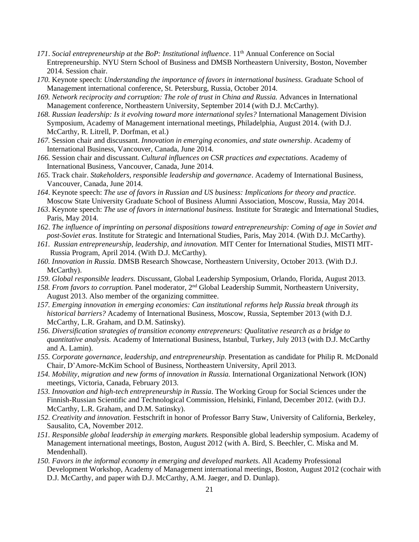- *171*. *Social entrepreneurship at the BoP: Institutional influence*. 11th Annual Conference on Social Entrepreneurship. NYU Stern School of Business and DMSB Northeastern University, Boston, November 2014. Session chair.
- *170.* Keynote speech: *Understanding the importance of favors in international business*. Graduate School of Management international conference, St. Petersburg, Russia, October 2014.
- 169. Network reciprocity and corruption: The role of trust in China and Russia. Advances in International Management conference, Northeastern University, September 2014 (with D.J. McCarthy).
- 168. Russian leadership: Is it evolving toward more international styles? International Management Division Symposium*,* Academy of Management international meetings, Philadelphia, August 2014. (with D.J. McCarthy, R. Litrell, P. Dorfman, et al.)
- *167.* Session chair and discussant. *Innovation in emerging economies, and state ownership*. Academy of International Business, Vancouver, Canada, June 2014.
- *166.* Session chair and discussant. *Cultural influences on CSR practices and expectations*. Academy of International Business, Vancouver, Canada, June 2014.
- *165.* Track chair. *Stakeholders, responsible leadership and governance*. Academy of International Business, Vancouver, Canada, June 2014.
- *164*. Keynote speech: *The use of favors in Russian and US business: Implications for theory and practice.*  Moscow State University Graduate School of Business Alumni Association, Moscow, Russia, May 2014.
- *163*. Keynote speech: *The use of favors in international business.* Institute for Strategic and International Studies, Paris, May 2014.
- *162*. *The influence of imprinting on personal dispositions toward entrepreneurship: Coming of age in Soviet and post-Soviet eras*. Institute for Strategic and International Studies, Paris, May 2014. (With D.J. McCarthy).
- *161. Russian entrepreneurship, leadership, and innovation.* MIT Center for International Studies, MISTI MIT- Russia Program, April 2014. (With D.J. McCarthy).
- *160. Innovation in Russia.* DMSB Research Showcase, Northeastern University, October 2013. (With D.J. McCarthy).
- *159. Global responsible leaders.* Discussant, Global Leadership Symposium, Orlando, Florida, August 2013.
- *158. From favors to corruption.* Panel moderator, 2nd Global Leadership Summit, Northeastern University, August 2013. Also member of the organizing committee.
- *157. Emerging innovation in emerging economies: Can institutional reforms help Russia break through its historical barriers?* Academy of International Business, Moscow, Russia, September 2013 (with D.J. McCarthy, L.R. Graham, and D.M. Satinsky).
- *156. Diversification strategies of transition economy entrepreneurs: Qualitative research as a bridge to quantitative analysis.* Academy of International Business, Istanbul, Turkey, July 2013 (with D.J. McCarthy and A. Lamin).
- *155. Corporate governance, leadership, and entrepreneurship.* Presentation as candidate for Philip R. McDonald Chair, D'Amore-McKim School of Business, Northeastern University, April 2013.
- *154. Mobility, migration and new forms of innovation in Russia.* International Organizational Network (ION) meetings, Victoria, Canada, February 2013.
- *153. Innovation and high-tech entrepreneurship in Russia*. The Working Group for Social Sciences under the Finnish-Russian Scientific and Technological Commission, Helsinki, Finland, December 2012. (with D.J. McCarthy, L.R. Graham, and D.M. Satinsky).
- *152. Creativity and innovation.* Festschrift in honor of Professor Barry Staw, University of California, Berkeley, Sausalito, CA, November 2012.
- *151. Responsible global leadership in emerging markets.* Responsible global leadership symposium. Academy of Management international meetings, Boston, August 2012 (with A. Bird, S. Beechler, C. Miska and M. Mendenhall).
- *150. Favors in the informal economy in emerging and developed markets*. All Academy Professional Development Workshop, Academy of Management international meetings, Boston, August 2012 (cochair with D.J. McCarthy, and paper with D.J. McCarthy, A.M. Jaeger, and D. Dunlap).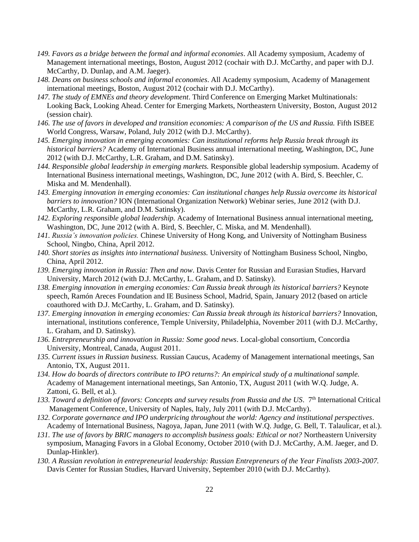- *149. Favors as a bridge between the formal and informal economies*. All Academy symposium, Academy of Management international meetings, Boston, August 2012 (cochair with D.J. McCarthy, and paper with D.J. McCarthy, D. Dunlap, and A.M. Jaeger).
- *148. Deans on business schools and informal economies*. All Academy symposium, Academy of Management international meetings, Boston, August 2012 (cochair with D.J. McCarthy).
- *147. The study of EMNEs and theory development*. Third Conference on Emerging Market Multinationals: Looking Back, Looking Ahead. Center for Emerging Markets, Northeastern University, Boston, August 2012 (session chair).
- 146. The use of favors in developed and transition economies: A comparison of the US and Russia. Fifth ISBEE World Congress, Warsaw, Poland, July 2012 (with D.J. McCarthy).
- *145. Emerging innovation in emerging economies: Can institutional reforms help Russia break through its historical barriers?* Academy of International Business annual international meeting, Washington, DC, June 2012 (with D.J. McCarthy, L.R. Graham, and D.M. Satinsky).
- *144. Responsible global leadership in emerging markets.* Responsible global leadership symposium. Academy of International Business international meetings, Washington, DC, June 2012 (with A. Bird, S. Beechler, C. Miska and M. Mendenhall).
- *143. Emerging innovation in emerging economies: Can institutional changes help Russia overcome its historical barriers to innovation?* ION (International Organization Network) Webinar series, June 2012 (with D.J. McCarthy, L.R. Graham, and D.M. Satinsky).
- *142. Exploring responsible global leadership.* Academy of International Business annual international meeting, Washington, DC, June 2012 (with A. Bird, S. Beechler, C. Miska, and M. Mendenhall).
- *141. Russia's innovation policies.* Chinese University of Hong Kong, and University of Nottingham Business School, Ningbo, China, April 2012.
- *140. Short stories as insights into international business.* University of Nottingham Business School, Ningbo, China, April 2012.
- *139. Emerging innovation in Russia: Then and now*. Davis Center for Russian and Eurasian Studies, Harvard University, March 2012 (with D.J. McCarthy, L. Graham, and D. Satinsky).
- *138. Emerging innovation in emerging economies: Can Russia break through its historical barriers?* Keynote speech, Ramón Areces Foundation and IE Business School, Madrid, Spain, January 2012 (based on article coauthored with D.J. McCarthy, L. Graham, and D. Satinsky).
- *137. Emerging innovation in emerging economies: Can Russia break through its historical barriers?* Innovation, international, institutions conference, Temple University, Philadelphia, November 2011 (with D.J. McCarthy, L. Graham, and D. Satinsky).
- *136. Entrepreneurship and innovation in Russia: Some good news*. Local-global consortium, Concordia University, Montreal, Canada, August 2011.
- *135. Current issues in Russian business.* Russian Caucus, Academy of Management international meetings, San Antonio, TX, August 2011.
- *134. How do boards of directors contribute to IPO returns?: An empirical study of a multinational sample.*  Academy of Management international meetings, San Antonio, TX, August 2011 (with W.Q. Judge, A. Zattoni, G. Bell, et al.).
- *133. Toward a definition of favors: Concepts and survey results from Russia and the US*. 7th International Critical Management Conference, University of Naples, Italy, July 2011 (with D.J. McCarthy).
- *132. Corporate governance and IPO underpricing throughout the world: Agency and institutional perspectives*. Academy of International Business, Nagoya, Japan, June 2011 (with W.Q. Judge, G. Bell, T. Talaulicar, et al.).
- *131. The use of favors by BRIC managers to accomplish business goals: Ethical or not?* Northeastern University symposium, Managing Favors in a Global Economy, October 2010 (with D.J. McCarthy, A.M. Jaeger, and D. Dunlap-Hinkler).
- *130. A Russian revolution in entrepreneurial leadership: Russian Entrepreneurs of the Year Finalists 2003-2007.*  Davis Center for Russian Studies, Harvard University, September 2010 (with D.J. McCarthy).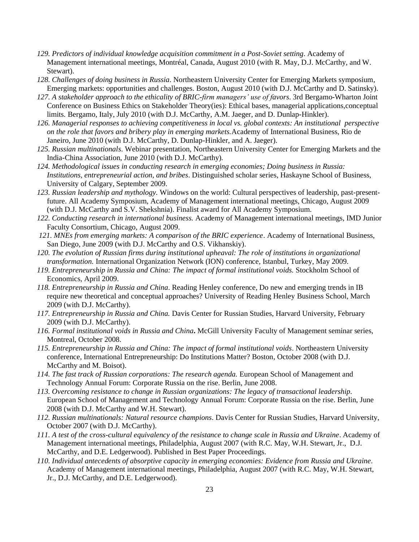- *129. Predictors of individual knowledge acquisition commitment in a Post-Soviet setting*. Academy of Management international meetings, Montréal, Canada, August 2010 (with R. May, D.J. McCarthy, and W. Stewart).
- *128. Challenges of doing business in Russia*. Northeastern University Center for Emerging Markets symposium, Emerging markets: opportunities and challenges. Boston, August 2010 (with D.J. McCarthy and D. Satinsky).
- *127. A stakeholder approach to the ethicality of BRIC-firm managers' use of favors*. 3rd Bergamo-Wharton Joint Conference on Business Ethics on Stakeholder Theory(ies): Ethical bases, managerial applications,conceptual limits. Bergamo, Italy, July 2010 (with D.J. McCarthy, A.M. Jaeger, and D. Dunlap-Hinkler).
- *126. Managerial responses to achieving competitiveness in local vs. global contexts: An institutional perspective on the role that favors and bribery play in emerging markets.*Academy of International Business, Rio de Janeiro, June 2010 (with D.J. McCarthy, D. Dunlap-Hinkler, and A. Jaeger).
- *125. Russian multinationals*. Webinar presentation, Northeastern University Center for Emerging Markets and the India-China Association, June 2010 (with D.J. McCarthy).
- *124. Methodological issues in conducting research in emerging economies; Doing business in Russia: Institutions, entrepreneurial action, and bribes*. Distinguished scholar series, Haskayne School of Business, University of Calgary, September 2009.
- *123. Russian leadership and mythology.* Windows on the world: Cultural perspectives of leadership, past-presentfuture. All Academy Symposium, Academy of Management international meetings, Chicago, August 2009 (with D.J. McCarthy and S.V. Shekshnia). Finalist award for All Academy Symposium.
- *122. Conducting research in international business.* Academy of Management international meetings, IMD Junior Faculty Consortium, Chicago, August 2009.
- *121. MNEs from emerging markets: A comparison of the BRIC experience*. Academy of International Business, San Diego, June 2009 (with D.J. McCarthy and O.S. Vikhanskiy).
- *120. The evolution of Russian firms during institutional upheaval: The role of institutions in organizational transformation.* International Organization Network (ION) conference, Istanbul, Turkey, May 2009.
- *119. Entrepreneurship in Russia and China: The impact of formal institutional voids.* Stockholm School of Economics, April 2009.
- *118. Entrepreneurship in Russia and China*. Reading Henley conference, Do new and emerging trends in IB require new theoretical and conceptual approaches? University of Reading Henley Business School, March 2009 (with D.J. McCarthy).
- *117. Entrepreneurship in Russia and China.* Davis Center for Russian Studies, Harvard University, February 2009 (with D.J. McCarthy).
- *116. Formal institutional voids in Russia and China***.** McGill University Faculty of Management seminar series, Montreal, October 2008.
- *115. Entrepreneurship in Russia and China: The impact of formal institutional voids*. Northeastern University conference, International Entrepreneurship: Do Institutions Matter? Boston, October 2008 (with D.J. McCarthy and M. Boisot).
- *114. The fast track of Russian corporations: The research agenda.* European School of Management and Technology Annual Forum: Corporate Russia on the rise. Berlin, June 2008.
- *113. Overcoming resistance to change in Russian organizations: The legacy of transactional leadership.*  European School of Management and Technology Annual Forum: Corporate Russia on the rise. Berlin, June 2008 (with D.J. McCarthy and W.H. Stewart).
- *112. Russian multinationals: Natural resource champions*. Davis Center for Russian Studies, Harvard University, October 2007 (with D.J. McCarthy).
- *111. A test of the cross-cultural equivalency of the resistance to change scale in Russia and Ukraine*. Academy of Management international meetings, Philadelphia, August 2007 (with R.C. May, W.H. Stewart, Jr., D.J. McCarthy, and D.E. Ledgerwood). Published in Best Paper Proceedings.
- *110. Individual antecedents of absorptive capacity in emerging economies: Evidence from Russia and Ukraine*. Academy of Management international meetings, Philadelphia, August 2007 (with R.C. May, W.H. Stewart, Jr., D.J. McCarthy, and D.E. Ledgerwood).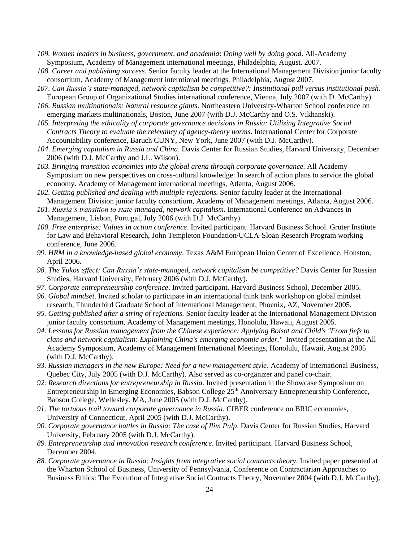- *109. Women leaders in business, government, and academia*: *Doing well by doing good*. All-Academy Symposium, Academy of Management international meetings, Philadelphia, August. 2007.
- *108. Career and publishing success*. Senior faculty leader at the International Management Division junior faculty consortium, Academy of Management interntional meetings, Philadelphia, August 2007.
- *107. Can Russia's state-managed, network capitalism be competitive?: Institutional pull versus institutional push*. European Group of Organizational Studies international conference, Vienna, July 2007 (with D. McCarthy).
- *106. Russian multinationals: Natural resource giants*. Northeastern University-Wharton School conference on emerging markets multinationals, Boston, June 2007 (with D.J. McCarthy and O.S. Vikhanski).
- *105. Interpreting the ethicality of corporate governance decisions in Russia: Utilizing Integrative Social Contracts Theory to evaluate the relevancy of agency-theory norms*. International Center for Corporate Accountability conference, Baruch CUNY, New York, June 2007 (with D.J. McCarthy).
- *104. Emerging capitalism in Russia and China*. Davis Center for Russian Studies, Harvard University, December 2006 (with D.J. McCarthy and J.L. Wilson).
- *103. Bringing transition economies into the global arena through corporate governance.* All Academy Symposium on new perspectives on cross-cultural knowledge: In search of action plans to service the global economy. Academy of Management international meetings, Atlanta, August 2006.
- *102. Getting published and dealing with multiple rejections.* Senior faculty leader at the International Management Division junior faculty consortium, Academy of Management meetings, Atlanta, August 2006.
- *101. Russia's transition to state-managed, network capitalism*. International Conference on Advances in Management, Lisbon, Portugal, July 2006 (with D.J. McCarthy).
- *100. Free enterprise: Values in action conference*. Invited participant. Harvard Business School. Gruter Institute for Law and Behavioral Research, John Templeton Foundation/UCLA-Sloan Research Program working conference, June 2006.
- *99. HRM in a knowledge-based global economy*. Texas A&M European Union Center of Excellence, Houston, April 2006.
- *98. The Yukos effect: Can Russia's state-managed, network capitalism be competitive?* Davis Center for Russian Studies, Harvard University, February 2006 (with D.J. McCarthy).
- *97. Corporate entrepreneurship conference*. Invited participant. Harvard Business School, December 2005.
- *96. Global mindset*. Invited scholar to participate in an international think tank workshop on global mindset research, Thunderbird Graduate School of International Management, Phoenix, AZ, November 2005.
- *95. Getting published after a string of rejections.* Senior faculty leader at the International Management Division junior faculty consortium, Academy of Management meetings, Honolulu, Hawaii, August 2005.
- *94. Lessons for Russian management from the Chinese experience: Applying Boisot and Child's "From fiefs to clans and network capitalism: Explaining China's emerging economic order."* Invited presentation at the All Academy Symposium, Academy of Management International Meetings, Honolulu, Hawaii, August 2005 (with D.J. McCarthy).
- *93. Russian managers in the new Europe: Need for a new management style*. Academy of International Business, Quebec City, July 2005 (with D.J. McCarthy). Also served as co-organizer and panel co-chair.
- *92. Research directions for entrepreneurship in Russia*. Invited presentation in the Showcase Symposium on Entrepreneurship in Emerging Economies, Babson College 25<sup>th</sup> Anniversary Entrepreneurship Conference, Babson College, Wellesley, MA, June 2005 (with D.J. McCarthy).
- *91. The tortuous trail toward corporate governance in Russia*. CIBER conference on BRIC economies, University of Connecticut, April 2005 (with D.J. McCarthy).
- *90. Corporate governance battles in Russia: The case of Ilim Pulp*. Davis Center for Russian Studies, Harvard University, February 2005 (with D.J. McCarthy).
- *89. Entrepreneurship and innovation research conference*. Invited participant. Harvard Business School, December 2004.
- *88. Corporate governance in Russia: Insights from integrative social contracts theory*. Invited paper presented at the Wharton School of Business, University of Pennsylvania, Conference on Contractarian Approaches to Business Ethics: The Evolution of Integrative Social Contracts Theory, November 2004 (with D.J. McCarthy).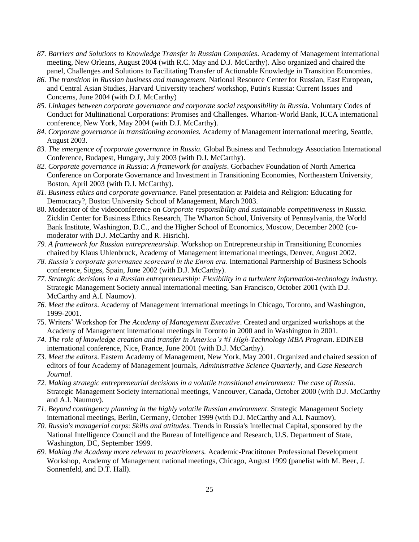- *87. Barriers and Solutions to Knowledge Transfer in Russian Companies*. Academy of Management international meeting, New Orleans, August 2004 (with R.C. May and D.J. McCarthy). Also organized and chaired the panel, Challenges and Solutions to Facilitating Transfer of Actionable Knowledge in Transition Economies.
- *86. The transition in Russian business and management.* National Resource Center for Russian, East European, and Central Asian Studies, Harvard University teachers' workshop, Putin's Russia: Current Issues and Concerns, June 2004 (with D.J. McCarthy)
- *85. Linkages between corporate governance and corporate social responsibility in Russia*. Voluntary Codes of Conduct for Multinational Corporations: Promises and Challenges. Wharton-World Bank, ICCA international conference, New York, May 2004 (with D.J. McCarthy).
- *84. Corporate governance in transitioning economies.* Academy of Management international meeting, Seattle, August 2003.
- *83. The emergence of corporate governance in Russia.* Global Business and Technology Association International Conference, Budapest, Hungary, July 2003 (with D.J. McCarthy).
- *82. Corporate governance in Russia: A framework for analysis*. Gorbachev Foundation of North America Conference on Corporate Governance and Investment in Transitioning Economies, Northeastern University, Boston, April 2003 (with D.J. McCarthy).
- *81. Business ethics and corporate governance*. Panel presentation at Paideia and Religion: Educating for Democracy?, Boston University School of Management, March 2003.
- 80. Moderator of the videoconference on *Corporate responsibility and sustainable competitiveness in Russia.*  Zicklin Center for Business Ethics Research, The Wharton School, University of Pennsylvania, the World Bank Institute, Washington, D.C., and the Higher School of Economics, Moscow, December 2002 (comoderator with D.J. McCarthy and R. Hisrich).
- *79. A framework for Russian entrepreneurship.* Workshop on Entrepreneurship in Transitioning Economies chaired by Klaus Uhlenbruck, Academy of Management international meetings, Denver, August 2002.
- *78. Russia's corporate governance scorecard in the Enron era.* International Partnership of Business Schools conference, Sitges, Spain, June 2002 (with D.J. McCarthy).
- *77. Strategic decisions in a Russian entrepreneurship: Flexibility in a turbulent information-technology industry*. Strategic Management Society annual international meeting, San Francisco, October 2001 (with D.J. McCarthy and A.I. Naumov).
- *76. Meet the editors*. Academy of Management international meetings in Chicago, Toronto, and Washington, 1999-2001.
- 75. Writers' Workshop for *The Academy of Management Executive*. Created and organized workshops at the Academy of Management international meetings in Toronto in 2000 and in Washington in 2001.
- *74. The role of knowledge creation and transfer in America's #1 High-Technology MBA Program*. EDINEB international conference, Nice, France, June 2001 (with D.J. McCarthy).
- *73. Meet the editors*. Eastern Academy of Management, New York, May 2001. Organized and chaired session of editors of four Academy of Management journals, *Administrative Science Quarterly*, and *Case Research Journal*.
- *72. Making strategic entrepreneurial decisions in a volatile transitional environment: The case of Russia.* Strategic Management Society international meetings, Vancouver, Canada, October 2000 (with D.J. McCarthy and A.I. Naumov).
- *71. Beyond contingency planning in the highly volatile Russian environment*. Strategic Management Society international meetings, Berlin, Germany, October 1999 (with D.J. McCarthy and A.I. Naumov).
- *70. Russia's managerial corps*: *Skills and attitudes*. Trends in Russia's Intellectual Capital, sponsored by the National Intelligence Council and the Bureau of Intelligence and Research, U.S. Department of State, Washington, DC, September 1999.
- *69. Making the Academy more relevant to practitioners.* Academic-Pracititoner Professional Development Workshop, Academy of Management national meetings, Chicago, August 1999 (panelist with M. Beer, J. Sonnenfeld, and D.T. Hall).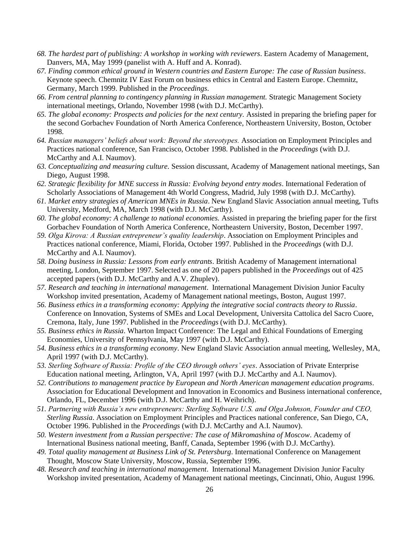- *68. The hardest part of publishing: A workshop in working with reviewers*. Eastern Academy of Management, Danvers, MA, May 1999 (panelist with A. Huff and A. Konrad).
- *67. Finding common ethical ground in Western countries and Eastern Europe: The case of Russian business*. Keynote speech. Chemnitz IV East Forum on business ethics in Central and Eastern Europe. Chemnitz, Germany, March 1999. Published in the *Proceedings*.
- *66. From central planning to contingency planning in Russian management.* Strategic Management Society international meetings, Orlando, November 1998 (with D.J. McCarthy).
- *65. The global economy: Prospects and policies for the next century.* Assisted in preparing the briefing paper for the second Gorbachev Foundation of North America Conference, Northeastern University, Boston, October 1998.
- *64. Russian managers' beliefs about work: Beyond the stereotypes.* Association on Employment Principles and Practices national conference, San Francisco, October 1998. Published in the *Proceedings* (with D.J. McCarthy and A.I. Naumov).
- *63. Conceptualizing and measuring culture.* Session discussant, Academy of Management national meetings, San Diego, August 1998.
- *62. Strategic flexibility for MNE success in Russia: Evolving beyond entry modes*. International Federation of Scholarly Associations of Management 4th World Congress, Madrid, July 1998 (with D.J. McCarthy).
- *61. Market entry strategies of American MNEs in Russia*. New England Slavic Association annual meeting, Tufts University, Medford, MA, March 1998 (with D.J. McCarthy).
- *60. The global economy: A challenge to national economies.* Assisted in preparing the briefing paper for the first Gorbachev Foundation of North America Conference, Northeastern University, Boston, December 1997.
- *59. Olga Kirova: A Russian entrepreneur's quality leadership*. Association on Employment Principles and Practices national conference, Miami, Florida, October 1997. Published in the *Proceedings* (with D.J. McCarthy and A.I. Naumov).
- *58. Doing business in Russia: Lessons from early entrants*. British Academy of Management international meeting, London, September 1997. Selected as one of 20 papers published in the *Proceedings* out of 425 accepted papers (with D.J. McCarthy and A.V. Zhuplev).
- *57. Research and teaching in international management*. International Management Division Junior Faculty Workshop invited presentation, Academy of Management national meetings, Boston, August 1997.
- *56. Business ethics in a transforming economy: Applying the integrative social contracts theory to Russia*. Conference on Innovation, Systems of SMEs and Local Development, Universita Cattolica del Sacro Cuore, Cremona, Italy, June 1997. Published in the *Proceedings* (with D.J. McCarthy).
- *55. Business ethics in Russia*. Wharton Impact Conference: The Legal and Ethical Foundations of Emerging Economies, University of Pennsylvania, May 1997 (with D.J. McCarthy).
- *54. Business ethics in a transforming economy*. New England Slavic Association annual meeting, Wellesley, MA, April 1997 (with D.J. McCarthy).
- *53. Sterling Software of Russia: Profile of the CEO through others' eyes*. Association of Private Enterprise Education national meeting, Arlington, VA, April 1997 (with D.J. McCarthy and A.I. Naumov).
- *52. Contributions to management practice by European and North American management education programs*. Association for Educational Development and Innovation in Economics and Business international conference, Orlando, FL, December 1996 (with D.J. McCarthy and H. Weihrich).
- *51. Partnering with Russia's new entrepreneurs: Sterling Software U.S. and Olga Johnson, Founder and CEO, Sterling Russia*. Association on Employment Principles and Practices national conference, San Diego, CA, October 1996. Published in the *Proceedings* (with D.J. McCarthy and A.I. Naumov).
- *50. Western investment from a Russian perspective: The case of Mikromashina of Moscow*. Academy of International Business national meeting, Banff, Canada, September 1996 (with D.J. McCarthy).
- *49. Total quality management at Business Link of St. Petersburg*. International Conference on Management Thought, Moscow State University, Moscow, Russia, September 1996.
- *48. Research and teaching in international management*. International Management Division Junior Faculty Workshop invited presentation, Academy of Management national meetings, Cincinnati, Ohio, August 1996.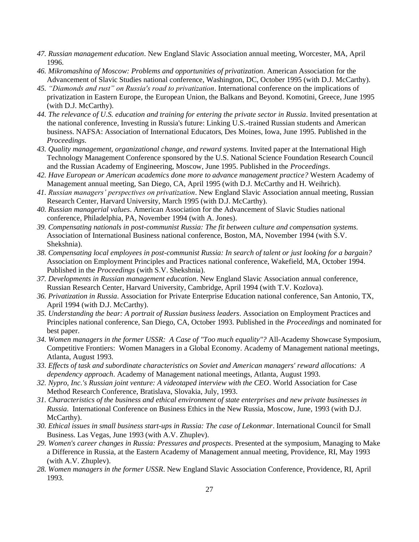- *47. Russian management education*. New England Slavic Association annual meeting, Worcester, MA, April 1996.
- *46. Mikromashina of Moscow: Problems and opportunities of privatization*. American Association for the Advancement of Slavic Studies national conference, Washington, DC, October 1995 (with D.J. McCarthy).
- *45. "Diamonds and rust" on Russia's road to privatization*. International conference on the implications of privatization in Eastern Europe, the European Union, the Balkans and Beyond. Komotini, Greece, June 1995 (with D.J. McCarthy).
- *44. The relevance of U.S. education and training for entering the private sector in Russia*. Invited presentation at the national conference, Investing in Russia's future: Linking U.S.-trained Russian students and American business. NAFSA: Association of International Educators, Des Moines, Iowa, June 1995. Published in the *Proceedings*.
- *43. Quality management, organizational change, and reward systems.* Invited paper at the International High Technology Management Conference sponsored by the U.S. National Science Foundation Research Council and the Russian Academy of Engineering, Moscow, June 1995. Published in the *Proceedings*.
- *42. Have European or American academics done more to advance management practice?* Western Academy of Management annual meeting, San Diego, CA, April 1995 (with D.J. McCarthy and H. Weihrich).
- *41. Russian managers' perspectives on privatization*. New England Slavic Association annual meeting, Russian Research Center, Harvard University, March 1995 (with D.J. McCarthy).
- *40. Russian managerial values*. American Association for the Advancement of Slavic Studies national conference, Philadelphia, PA, November 1994 (with A. Jones).
- *39. Compensating nationals in post-communist Russia: The fit between culture and compensation systems.* Association of International Business national conference, Boston, MA, November 1994 (with S.V. Shekshnia).
- *38. Compensating local employees in post-communist Russia: In search of talent or just looking for a bargain?* Association on Employment Principles and Practices national conference, Wakefield, MA, October 1994. Published in the *Proceedings* (with S.V. Shekshnia).
- *37. Developments in Russian management education*. New England Slavic Association annual conference, Russian Research Center, Harvard University, Cambridge, April 1994 (with T.V. Kozlova).
- *36. Privatization in Russia*. Association for Private Enterprise Education national conference, San Antonio, TX, April 1994 (with D.J. McCarthy).
- *35. Understanding the bear: A portrait of Russian business leaders*. Association on Employment Practices and Principles national conference, San Diego, CA, October 1993. Published in the *Proceedings* and nominated for best paper.
- *34. Women managers in the former USSR: A Case of "Too much equality"?* All-Academy Showcase Symposium, Competitive Frontiers: Women Managers in a Global Economy. Academy of Management national meetings, Atlanta, August 1993.
- *33. Effects of task and subordinate characteristics on Soviet and American managers' reward allocations: A dependency approach*. Academy of Management national meetings, Atlanta, August 1993.
- *32. Nypro, Inc.'s Russian joint venture: A videotaped interview with the CEO*. World Association for Case Method Research Conference, Bratislava, Slovakia, July, 1993.
- *31. Characteristics of the business and ethical environment of state enterprises and new private businesses in Russia*. International Conference on Business Ethics in the New Russia, Moscow, June, 1993 (with D.J. McCarthy).
- *30. Ethical issues in small business start-ups in Russia: The case of Lekonmar*. International Council for Small Business. Las Vegas, June 1993 (with A.V. Zhuplev).
- *29. Women's career changes in Russia: Pressures and prospects*. Presented at the symposium, Managing to Make a Difference in Russia, at the Eastern Academy of Management annual meeting, Providence, RI, May 1993 (with A.V. Zhuplev).
- *28. Women managers in the former USSR*. New England Slavic Association Conference, Providence, RI, April 1993.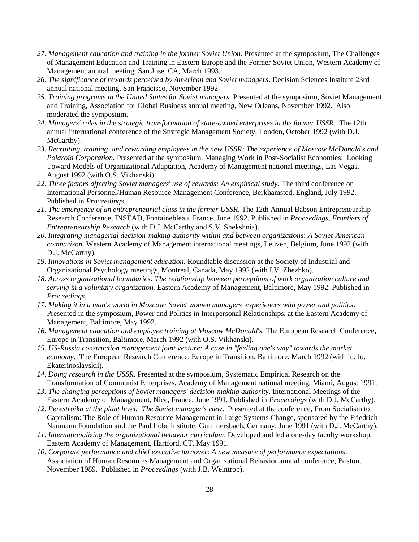- *27. Management education and training in the former Soviet Union*. Presented at the symposium, The Challenges of Management Education and Training in Eastern Europe and the Former Soviet Union, Western Academy of Management annual meeting, San Jose, CA, March 1993.
- *26. The significance of rewards perceived by American and Soviet managers*. Decision Sciences Institute 23rd annual national meeting, San Francisco, November 1992.
- *25. Training programs in the United States for Soviet managers*. Presented at the symposium, Soviet Management and Training, Association for Global Business annual meeting, New Orleans, November 1992. Also moderated the symposium.
- *24. Managers' roles in the strategic transformation of state-owned enterprises in the former USSR*. The 12th annual international conference of the Strategic Management Society, London, October 1992 (with D.J. McCarthy).
- *23. Recruiting, training, and rewarding employees in the new USSR: The experience of Moscow McDonald's and Polaroid Corporation*. Presented at the symposium, Managing Work in Post-Socialist Economies: Looking Toward Models of Organizational Adaptation, Academy of Management national meetings, Las Vegas, August 1992 (with O.S. Vikhanski).
- *22. Three factors affecting Soviet managers' use of rewards: An empirical study*. The third conference on International Personnel/Human Resource Management Conference, Berkhamsted, England, July 1992. Published in *Proceedings*.
- *21. The emergence of an entrepreneurial class in the former USSR*. The 12th Annual Babson Entrepreneurship Research Conference, INSEAD, Fontainebleau, France, June 1992. Published in *Proceedings*, *Frontiers of Entrepreneurship Research* (with D.J. McCarthy and S.V. Shekshnia).
- *20. Integrating managerial decision-making authority within and between organizations: A Soviet-American comparison*. Western Academy of Management international meetings, Leuven, Belgium, June 1992 (with D.J. McCarthy).
- *19. Innovations in Soviet management education*. Roundtable discussion at the Society of Industrial and Organizational Psychology meetings, Montreal, Canada, May 1992 (with I.V. Zhezhko).
- *18. Across organizational boundaries: The relationship between perceptions of work organization culture and serving in a voluntary organization.* Eastern Academy of Management, Baltimore, May 1992. Published in *Proceedings*.
- *17. Making it in a man's world in Moscow: Soviet women managers' experiences with power and politics*. Presented in the symposium, Power and Politics in Interpersonal Relationships, at the Eastern Academy of Management, Baltimore, May 1992.
- *16. Management education and employee training at Moscow McDonald's*. The European Research Conference, Europe in Transition, Baltimore, March 1992 (with O.S. Vikhanski).
- *15. US-Russia construction management joint venture: A case in "feeling one's way" towards the market economy*. The European Research Conference, Europe in Transition, Baltimore, March 1992 (with Iu. Iu. Ekaterinoslavskii).
- *14. Doing research in the USSR*. Presented at the symposium, Systematic Empirical Research on the Transformation of Communist Enterprises. Academy of Management national meeting, Miami, August 1991.
- *13. The changing perceptions of Soviet managers' decision-making authority*. International Meetings of the Eastern Academy of Management, Nice, France, June 1991. Published in *Proceedings* (with D.J. McCarthy).
- *12. Perestroika at the plant level: The Soviet manager's view*. Presented at the conference, From Socialism to Capitalism: The Role of Human Resource Management in Large Systems Change, sponsored by the Friedrich Naumann Foundation and the Paul Lobe Institute, Gummersbach, Germany, June 1991 (with D.J. McCarthy).
- *11. Internationalizing the organizational behavior curriculum*. Developed and led a one-day faculty workshop, Eastern Academy of Management, Hartford, CT, May 1991.
- *10. Corporate performance and chief executive turnover: A new measure of performance expectations*. Association of Human Resources Management and Organizational Behavior annual conference, Boston, November 1989. Published in *Proceedings* (with J.B. Weintrop).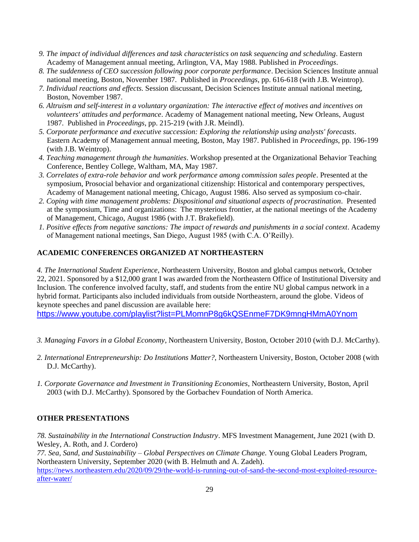- *9. The impact of individual differences and task characteristics on task sequencing and scheduling*. Eastern Academy of Management annual meeting, Arlington, VA, May 1988. Published in *Proceedings*.
- *8. The suddenness of CEO succession following poor corporate performance*. Decision Sciences Institute annual national meeting, Boston, November 1987. Published in *Proceedings*, pp. 616-618 (with J.B. Weintrop).
- *7. Individual reactions and effects.* Session discussant, Decision Sciences Institute annual national meeting, Boston, November 1987.
- *6. Altruism and self-interest in a voluntary organization: The interactive effect of motives and incentives on volunteers' attitudes and performance*. Academy of Management national meeting, New Orleans, August 1987. Published in *Proceedings*, pp. 215-219 (with J.R. Meindl).
- *5. Corporate performance and executive succession: Exploring the relationship using analysts' forecasts*. Eastern Academy of Management annual meeting, Boston, May 1987. Published in *Proceedings*, pp. 196-199 (with J.B. Weintrop).
- *4. Teaching management through the humanities*. Workshop presented at the Organizational Behavior Teaching Conference, Bentley College, Waltham, MA, May 1987.
- *3. Correlates of extra-role behavior and work performance among commission sales people*. Presented at the symposium, Prosocial behavior and organizational citizenship: Historical and contemporary perspectives, Academy of Management national meeting, Chicago, August 1986. Also served as symposium co-chair.
- *2. Coping with time management problems: Dispositional and situational aspects of procrastination*. Presented at the symposium, Time and organizations: The mysterious frontier, at the national meetings of the Academy of Management, Chicago, August 1986 (with J.T. Brakefield).
- *1. Positive effects from negative sanctions: The impact of rewards and punishments in a social context*. Academy of Management national meetings, San Diego, August 1985 (with C.A. O'Reilly).

# **ACADEMIC CONFERENCES ORGANIZED AT NORTHEASTERN**

*4. The International Student Experience*, Northeastern University, Boston and global campus network, October 22, 2021. Sponsored by a \$12,000 grant I was awarded from the Northeastern Office of Institutional Diversity and Inclusion. The conference involved faculty, staff, and students from the entire NU global campus network in a hybrid format. Participants also included individuals from outside Northeastern, around the globe. Videos of keynote speeches and panel discussion are available here:

<https://www.youtube.com/playlist?list=PLMomnP8g6kQSEnmeF7DK9mngHMmA0Ynom>

- *3. Managing Favors in a Global Economy*, Northeastern University, Boston, October 2010 (with D.J. McCarthy).
- *2. International Entrepreneurship: Do Institutions Matter?*, Northeastern University, Boston, October 2008 (with D.J. McCarthy).
- *1. Corporate Governance and Investment in Transitioning Economies*, Northeastern University, Boston, April 2003 (with D.J. McCarthy). Sponsored by the Gorbachev Foundation of North America.

# **OTHER PRESENTATIONS**

*78. Sustainability in the International Construction Industry*. MFS Investment Management, June 2021 (with D. Wesley, A. Roth, and J. Cordero)

*77. Sea, Sand, and Sustainability – Global Perspectives on Climate Change.* Young Global Leaders Program, Northeastern University, September 2020 (with B. Helmuth and A. Zadeh). [https://news.northeastern.edu/2020/09/29/the-world-is-running-out-of-sand-the-second-most-exploited-resource](https://news.northeastern.edu/2020/09/29/the-world-is-running-out-of-sand-the-second-most-exploited-resource-after-water/)[after-water/](https://news.northeastern.edu/2020/09/29/the-world-is-running-out-of-sand-the-second-most-exploited-resource-after-water/)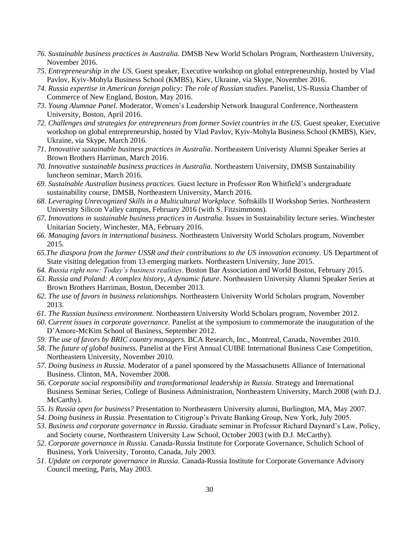- *76. Sustainable business practices in Australia.* DMSB New World Scholars Program, Northeastern University, November 2016.
- *75. Entrepreneurship in the US*. Guest speaker, Executive workshop on global entrepreneurship, hosted by Vlad Pavlov, Kyiv-Mohyla Business School (KMBS), Kiev, Ukraine, via Skype, November 2016.
- *74. Russia expertise in American foreign policy: The role of Russian studies*. Panelist, US-Russia Chamber of Commerce of New England, Boston, May 2016.
- *73. Young Alumnae Panel*. Moderator, Women's Leadership Network Inaugural Conference, Northeastern University, Boston, April 2016.
- *72. Challenges and strategies for entrepreneurs from former Soviet countries in the US*. Guest speaker, Executive workshop on global entrepreneurship, hosted by Vlad Pavlov, Kyiv-Mohyla Business School (KMBS), Kiev, Ukraine, via Skype, March 2016.
- *71*. *Innovative sustainable business practices in Australia*. Northeastern Univeristy Alumni Speaker Series at Brown Brothers Harriman, March 2016.
- *70. Innovative sustainable business practices in Australia.* Northeastern University, DMSB Sustainability luncheon seminar, March 2016.
- *69. Sustainable Australian business practices.* Guest lecture in Professor Ron Whitfield's undergraduate sustainability course, DMSB, Northeastern University, March 2016.
- *68. Leveraging Unrecognized Skills in a Multicultural Workplace.* Softskills II Workshop Series. Northeastern University Silicon Valley campus, February 2016 (with S. Fitzsimmons).
- *67. Innovations in sustainable business practices in Australia.* Issues in Sustainability lecture series. Winchester Unitarian Society, Winchester, MA, February 2016.
- *66. Managing favors in international business*. Northeastern University World Scholars program, November 2015.
- *65.The diaspora from the former USSR and their contributions to the US innovation economy.* US Department of State visiting delegation from 13 emerging markets. Northeastern University, June 2015.
- *64. Russia right now: Today's business realities*. Boston Bar Association and World Boston, February 2015.
- *63. Russia and Poland: A complex history, A dynamic future*. Northeastern University Alumni Speaker Series at Brown Brothers Harriman, Boston, December 2013.
- *62. The use of favors in business relationships.* Northeastern University World Scholars program, November 2013.
- *61. The Russian business environment.* Northeastern University World Scholars program, November 2012.
- *60. Current issues in corporate governance.* Panelist at the symposium to commemorate the inauguration of the D'Amore-McKim School of Business, September 2012.
- *59. The use of favors by BRIC country managers.* BCA Research, Inc., Montreal, Canada, November 2010.
- *58. The future of global business.* Panelist at the First Annual CUIBE International Business Case Competition, Northeastern University, November 2010.
- *57. Doing business in Russia*. Moderator of a panel sponsored by the Massachusetts Alliance of International Business. Clinton, MA, November 2008.
- *56. Corporate social responsibility and transformational leadership in Russia.* Strategy and International Business Seminar Series, College of Business Administration, Northeastern University, March 2008 (with D.J. McCarthy).
- *55. Is Russia open for business?* Presentation to Northeastern University alumni, Burlington, MA, May 2007.
- *54. Doing business in Russia*. Presentation to Citigroup's Private Banking Group, New York, July 2005.
- *53. Business and corporate governance in Russia.* Graduate seminar in Professor Richard Daynard's Law, Policy, and Society course, Northeastern University Law School, October 2003 (with D.J. McCarthy).
- *52. Corporate governance in Russia.* Canada-Russia Institute for Corporate Governance, Schulich School of Business, York University, Toronto, Canada, July 2003.
- *51. Update on corporate governance in Russia.* Canada-Russia Institute for Corporate Governance Advisory Council meeting, Paris, May 2003.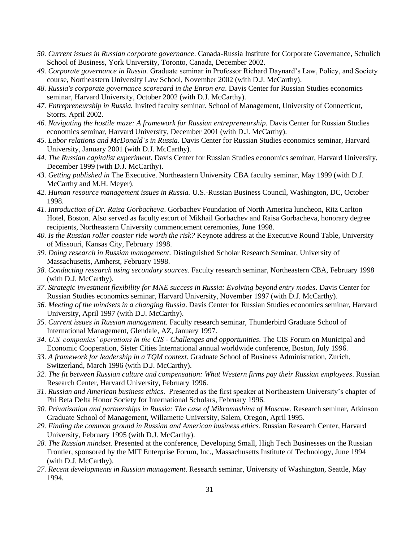- *50. Current issues in Russian corporate governance*. Canada-Russia Institute for Corporate Governance, Schulich School of Business, York University, Toronto, Canada, December 2002.
- *49. Corporate governance in Russia.* Graduate seminar in Professor Richard Daynard's Law, Policy, and Society course, Northeastern University Law School, November 2002 (with D.J. McCarthy).
- *48. Russia's corporate governance scorecard in the Enron era*. Davis Center for Russian Studies economics seminar, Harvard University, October 2002 (with D.J. McCarthy).
- *47. Entrepreneurship in Russia.* Invited faculty seminar. School of Management, University of Connecticut, Storrs. April 2002.
- *46. Navigating the hostile maze: A framework for Russian entrepreneurship.* Davis Center for Russian Studies economics seminar, Harvard University, December 2001 (with D.J. McCarthy).
- *45. Labor relations and McDonald's in Russia*. Davis Center for Russian Studies economics seminar, Harvard University, January 2001 (with D.J. McCarthy).
- *44. The Russian capitalist experiment*. Davis Center for Russian Studies economics seminar, Harvard University, December 1999 (with D.J. McCarthy).
- *43. Getting published in* The Executive. Northeastern University CBA faculty seminar, May 1999 (with D.J. McCarthy and M.H. Meyer).
- *42. Human resource management issues in Russia.* U.S.-Russian Business Council, Washington, DC, October 1998.
- *41. Introduction of Dr. Raisa Gorbacheva*. Gorbachev Foundation of North America luncheon, Ritz Carlton Hotel, Boston. Also served as faculty escort of Mikhail Gorbachev and Raisa Gorbacheva, honorary degree recipients, Northeastern University commencement ceremonies, June 1998.
- *40. Is the Russian roller coaster ride worth the risk?* Keynote address at the Executive Round Table, University of Missouri, Kansas City, February 1998.
- *39. Doing research in Russian management*. Distinguished Scholar Research Seminar, University of Massachusetts, Amherst, February 1998.
- *38. Conducting research using secondary sources*. Faculty research seminar, Northeastern CBA, February 1998 (with D.J. McCarthy).
- *37. Strategic investment flexibility for MNE success in Russia: Evolving beyond entry modes*. Davis Center for Russian Studies economics seminar, Harvard University, November 1997 (with D.J. McCarthy).
- *36. Meeting of the mindsets in a changing Russia*. Davis Center for Russian Studies economics seminar, Harvard University, April 1997 (with D.J. McCarthy).
- *35. Current issues in Russian management*. Faculty research seminar, Thunderbird Graduate School of International Management, Glendale, AZ, January 1997.
- *34. U.S. companies' operations in the CIS - Challenges and opportunities*. The CIS Forum on Municipal and Economic Cooperation, Sister Cities International annual worldwide conference, Boston, July 1996.
- *33. A framework for leadership in a TQM context*. Graduate School of Business Administration, Zurich, Switzerland, March 1996 (with D.J. McCarthy).
- *32. The fit between Russian culture and compensation: What Western firms pay their Russian employees*. Russian Research Center, Harvard University, February 1996.
- *31. Russian and American business ethics*. Presented as the first speaker at Northeastern University's chapter of Phi Beta Delta Honor Society for International Scholars, February 1996.
- *30. Privatization and partnerships in Russia: The case of Mikromashina of Moscow.* Research seminar, Atkinson Graduate School of Management, Willamette University, Salem, Oregon, April 1995.
- *29. Finding the common ground in Russian and American business ethics*. Russian Research Center, Harvard University, February 1995 (with D.J. McCarthy).
- *28. The Russian mindset.* Presented at the conference, Developing Small, High Tech Businesses on the Russian Frontier, sponsored by the MIT Enterprise Forum, Inc., Massachusetts Institute of Technology, June 1994 (with D.J. McCarthy).
- *27. Recent developments in Russian management*. Research seminar, University of Washington, Seattle, May 1994.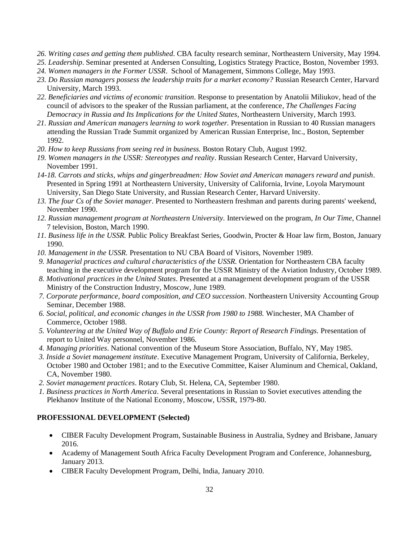- *26. Writing cases and getting them published*. CBA faculty research seminar, Northeastern University, May 1994.
- *25. Leadership*. Seminar presented at Andersen Consulting, Logistics Strategy Practice, Boston, November 1993.
- *24. Women managers in the Former USSR*. School of Management, Simmons College, May 1993.
- *23. Do Russian managers possess the leadership traits for a market economy?* Russian Research Center, Harvard University, March 1993.
- *22. Beneficiaries and victims of economic transition*. Response to presentation by Anatolii Miliukov, head of the council of advisors to the speaker of the Russian parliament, at the conference*, The Challenges Facing Democracy in Russia and Its Implications for the United States*, Northeastern University, March 1993.
- *21. Russian and American managers learning to work together.* Presentation in Russian to 40 Russian managers attending the Russian Trade Summit organized by American Russian Enterprise, Inc., Boston, September 1992.
- *20. How to keep Russians from seeing red in business.* Boston Rotary Club, August 1992.
- *19. Women managers in the USSR: Stereotypes and reality*. Russian Research Center, Harvard University, November 1991.
- *14-18. Carrots and sticks, whips and gingerbreadmen: How Soviet and American managers reward and punish*. Presented in Spring 1991 at Northeastern University, University of California, Irvine, Loyola Marymount University, San Diego State University, and Russian Research Center, Harvard University.
- *13. The four Cs of the Soviet manager*. Presented to Northeastern freshman and parents during parents' weekend, November 1990.
- *12. Russian management program at Northeastern University.* Interviewed on the program*, In Our Time*, Channel 7 television, Boston, March 1990.
- *11. Business life in the USSR.* Public Policy Breakfast Series, Goodwin, Procter & Hoar law firm, Boston, January 1990.
- *10. Management in the USSR.* Presentation to NU CBA Board of Visitors, November 1989.
- *9. Managerial practices and cultural characteristics of the USSR.* Orientation for Northeastern CBA faculty teaching in the executive development program for the USSR Ministry of the Aviation Industry, October 1989.
- *8. Motivational practices in the United States*. Presented at a management development program of the USSR Ministry of the Construction Industry, Moscow, June 1989.
- *7. Corporate performance, board composition, and CEO succession*. Northeastern University Accounting Group Seminar, December 1988.
- *6. Social, political, and economic changes in the USSR from 1980 to 1988.* Winchester, MA Chamber of Commerce, October 1988.
- *5. Volunteering at the United Way of Buffalo and Erie County: Report of Research Findings.* Presentation of report to United Way personnel, November 1986.
- *4. Managing priorities*. National convention of the Museum Store Association, Buffalo, NY, May 1985.
- *3. Inside a Soviet management institute*. Executive Management Program, University of California, Berkeley, October 1980 and October 1981; and to the Executive Committee, Kaiser Aluminum and Chemical, Oakland, CA, November 1980.
- *2. Soviet management practices*. Rotary Club, St. Helena, CA, September 1980.
- *1. Business practices in North America*. Several presentations in Russian to Soviet executives attending the Plekhanov Institute of the National Economy, Moscow, USSR, 1979-80.

# **PROFESSIONAL DEVELOPMENT (Selected)**

- CIBER Faculty Development Program, Sustainable Business in Australia, Sydney and Brisbane, January 2016.
- Academy of Management South Africa Faculty Development Program and Conference, Johannesburg, January 2013.
- CIBER Faculty Development Program, Delhi, India, January 2010.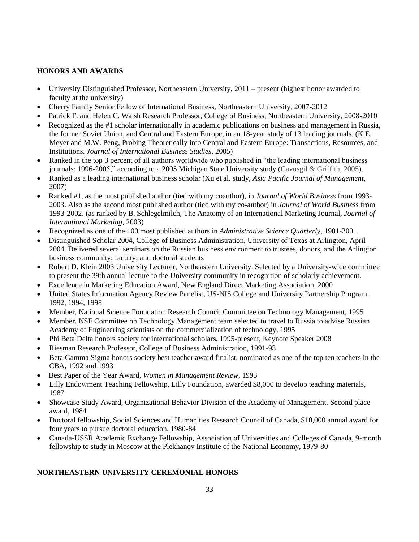# **HONORS AND AWARDS**

- University Distinguished Professor, Northeastern University, 2011 present (highest honor awarded to faculty at the university)
- Cherry Family Senior Fellow of International Business, Northeastern University, 2007-2012
- •Patrick F. and Helen C. Walsh Research Professor, College of Business, Northeastern University, 2008-2010
- •Recognized as the #1 scholar internationally in academic publications on business and management in Russia, the former Soviet Union, and Central and Eastern Europe, in an 18-year study of 13 leading journals. (K.E. Meyer and M.W. Peng, Probing Theoretically into Central and Eastern Europe: Transactions, Resources, and Institutions. *Journal of International Business Studies*, 2005)
- Ranked in the top 3 percent of all authors worldwide who published in "the leading international business" journals: 1996-2005," according to a 2005 Michigan State University study (Cavusgil & Griffith, 2005).
- Ranked as a leading international business scholar (Xu et al. study, *Asia Pacific Journal of Management*, 2007)
- Ranked #1, as the most published author (tied with my coauthor), in *Journal of World Business* from 1993- 2003. Also as the second most published author (tied with my co-author) in *Journal of World Business* from 1993-2002. (as ranked by B. Schlegelmilch, The Anatomy of an International Marketing Journal, *Journal of International Marketing*, 2003)
- Recognized as one of the 100 most published authors in *Administrative Science Quarterly*, 1981-2001.
- Distinguished Scholar 2004, College of Business Administration, University of Texas at Arlington, April 2004. Delivered several seminars on the Russian business environment to trustees, donors, and the Arlington business community; faculty; and doctoral students
- Robert D. Klein 2003 University Lecturer, Northeastern University. Selected by a University-wide committee to present the 39th annual lecture to the University community in recognition of scholarly achievement.
- •Excellence in Marketing Education Award, New England Direct Marketing Association, 2000
- United States Information Agency Review Panelist, US-NIS College and University Partnership Program, 1992, 1994, 1998
- Member, National Science Foundation Research Council Committee on Technology Management, 1995
- Member, NSF Committee on Technology Management team selected to travel to Russia to advise Russian Academy of Engineering scientists on the commercialization of technology, 1995
- Phi Beta Delta honors society for international scholars, 1995-present, Keynote Speaker 2008
- Riesman Research Professor, College of Business Administration, 1991-93
- Beta Gamma Sigma honors society best teacher award finalist, nominated as one of the top ten teachers in the CBA, 1992 and 1993
- Best Paper of the Year Award, *Women in Management Review*, 1993
- Lilly Endowment Teaching Fellowship, Lilly Foundation, awarded \$8,000 to develop teaching materials, 1987
- Showcase Study Award, Organizational Behavior Division of the Academy of Management. Second place award, 1984
- Doctoral fellowship, Social Sciences and Humanities Research Council of Canada, \$10,000 annual award for four years to pursue doctoral education, 1980-84
- Canada-USSR Academic Exchange Fellowship, Association of Universities and Colleges of Canada, 9-month fellowship to study in Moscow at the Plekhanov Institute of the National Economy, 1979-80

# **NORTHEASTERN UNIVERSITY CEREMONIAL HONORS**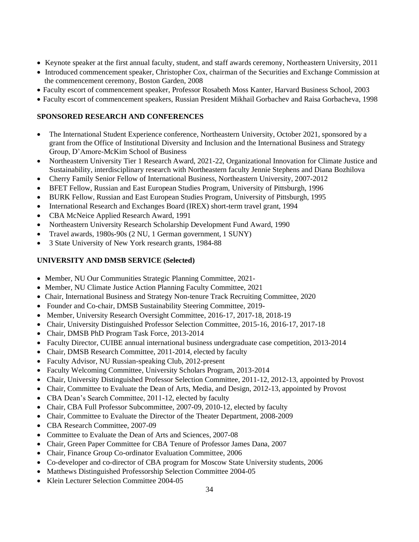- Keynote speaker at the first annual faculty, student, and staff awards ceremony, Northeastern University, 2011
- Introduced commencement speaker, Christopher Cox, chairman of the Securities and Exchange Commission at the commencement ceremony, Boston Garden, 2008
- Faculty escort of commencement speaker, Professor Rosabeth Moss Kanter, Harvard Business School, 2003
- Faculty escort of commencement speakers, Russian President Mikhail Gorbachev and Raisa Gorbacheva, 1998

# **SPONSORED RESEARCH AND CONFERENCES**

- The International Student Experience conference, Northeastern University, October 2021, sponsored by a grant from the Office of Institutional Diversity and Inclusion and the International Business and Strategy Group, D'Amore-McKim School of Business
- Northeastern University Tier 1 Research Award, 2021-22, Organizational Innovation for Climate Justice and Sustainability, interdisciplinary research with Northeastern faculty Jennie Stephens and Diana Bozhilova
- Cherry Family Senior Fellow of International Business, Northeastern University, 2007-2012
- BFET Fellow, Russian and East European Studies Program, University of Pittsburgh, 1996
- BURK Fellow, Russian and East European Studies Program, University of Pittsburgh, 1995
- International Research and Exchanges Board (IREX) short-term travel grant, 1994
- CBA McNeice Applied Research Award, 1991
- Northeastern University Research Scholarship Development Fund Award, 1990
- Travel awards, 1980s-90s (2 NU, 1 German government, 1 SUNY)
- 3 State University of New York research grants, 1984-88

# **UNIVERSITY AND DMSB SERVICE (Selected)**

- Member, NU Our Communities Strategic Planning Committee, 2021-
- Member, NU Climate Justice Action Planning Faculty Committee, 2021
- Chair, International Business and Strategy Non-tenure Track Recruiting Committee, 2020
- Founder and Co-chair, DMSB Sustainability Steering Committee, 2019-
- Member, University Research Oversight Committee, 2016-17, 2017-18, 2018-19
- Chair, University Distinguished Professor Selection Committee, 2015-16, 2016-17, 2017-18
- Chair, DMSB PhD Program Task Force, 2013-2014
- Faculty Director, CUIBE annual international business undergraduate case competition, 2013-2014
- Chair, DMSB Research Committee, 2011-2014, elected by faculty
- Faculty Advisor, NU Russian-speaking Club, 2012-present
- Faculty Welcoming Committee, University Scholars Program, 2013-2014
- Chair, University Distinguished Professor Selection Committee, 2011-12, 2012-13, appointed by Provost
- Chair, Committee to Evaluate the Dean of Arts, Media, and Design, 2012-13, appointed by Provost
- CBA Dean's Search Committee, 2011-12, elected by faculty
- Chair, CBA Full Professor Subcommittee, 2007-09, 2010-12, elected by faculty
- Chair, Committee to Evaluate the Director of the Theater Department, 2008-2009
- CBA Research Committee, 2007-09
- Committee to Evaluate the Dean of Arts and Sciences, 2007-08
- Chair, Green Paper Committee for CBA Tenure of Professor James Dana, 2007
- Chair, Finance Group Co-ordinator Evaluation Committee, 2006
- Co-developer and co-director of CBA program for Moscow State University students, 2006
- Matthews Distinguished Professorship Selection Committee 2004-05
- Klein Lecturer Selection Committee 2004-05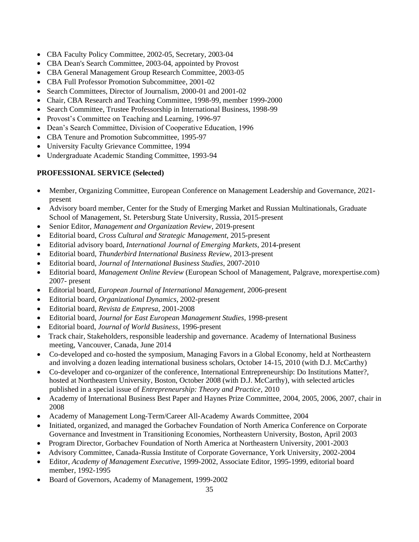- •CBA Faculty Policy Committee, 2002-05, Secretary, 2003-04
- CBA Dean's Search Committee, 2003-04, appointed by Provost
- CBA General Management Group Research Committee, 2003-05
- **CBA Full Professor Promotion Subcommittee, 2001-02**
- Search Committees, Director of Journalism, 2000-01 and 2001-02
- Chair, CBA Research and Teaching Committee, 1998-99, member 1999-2000
- Search Committee, Trustee Professorship in International Business, 1998-99
- Provost's Committee on Teaching and Learning, 1996-97
- Dean's Search Committee, Division of Cooperative Education, 1996
- CBA Tenure and Promotion Subcommittee, 1995-97
- University Faculty Grievance Committee, 1994
- Undergraduate Academic Standing Committee, 1993-94

# **PROFESSIONAL SERVICE (Selected)**

- Member, Organizing Committee, European Conference on Management Leadership and Governance, 2021 present
- Advisory board member, Center for the Study of Emerging Market and Russian Multinationals, Graduate School of Management, St. Petersburg State University, Russia, 2015-present
- Senior Editor, *Management and Organization Review*, 2019-present
- Editorial board, *Cross Cultural and Strategic Management*, 2015-present
- Editorial advisory board, *International Journal of Emerging Markets*, 2014-present
- Editorial board, *Thunderbird International Business Review*, 2013-present
- Editorial board, *Journal of International Business Studies*, 2007-2010
- Editorial board, *Management Online Review* (European School of Management, Palgrave, morexpertise.com) 2007- present
- Editorial board, *European Journal of International Management*, 2006-present
- Editorial board, *Organizational Dynamics*, 2002-present
- Editorial board, *Revista de Empresa*, 2001-2008
- Editorial board, *Journal for East European Management Studies*, 1998-present
- Editorial board, *Journal of World Business*, 1996-present
- Track chair, Stakeholders, responsible leadership and governance. Academy of International Business meeting, Vancouver, Canada, June 2014
- Co-developed and co-hosted the symposium, Managing Favors in a Global Economy, held at Northeastern and involving a dozen leading international business scholars, October 14-15, 2010 (with D.J. McCarthy)
- Co-developer and co-organizer of the conference, International Entrepreneurship: Do Institutions Matter?, hosted at Northeastern University, Boston, October 2008 (with D.J. McCarthy), with selected articles published in a special issue of *Entrepreneurship: Theory and Practice*, 2010
- Academy of International Business Best Paper and Haynes Prize Committee, 2004, 2005, 2006, 2007, chair in 2008
- Academy of Management Long-Term/Career All-Academy Awards Committee, 2004
- Initiated, organized, and managed the Gorbachev Foundation of North America Conference on Corporate Governance and Investment in Transitioning Economies, Northeastern University, Boston, April 2003
- Program Director, Gorbachev Foundation of North America at Northeastern University, 2001-2003
- •Advisory Committee, Canada-Russia Institute of Corporate Governance, York University, 2002-2004
- Editor, *Academy of Management Executive*, 1999-2002, Associate Editor, 1995-1999, editorial board member, 1992-1995
- Board of Governors, Academy of Management, 1999-2002